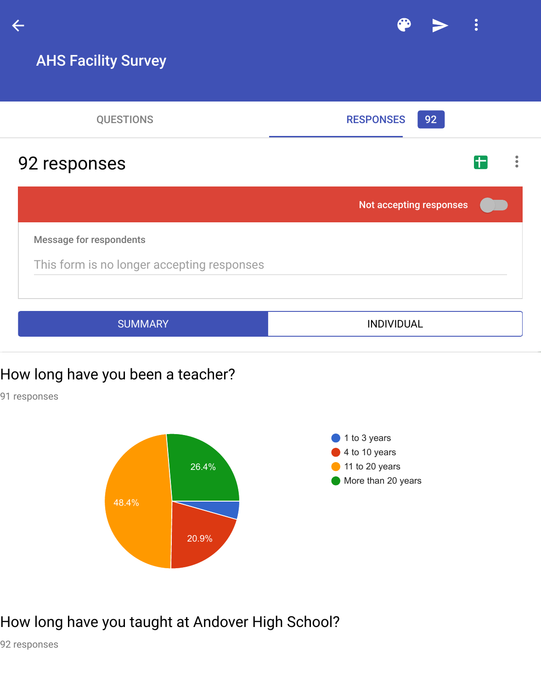# 92 responses

Not accepting respons

Message for respondents

This form is no longer accepting responses

SUMMARY **INDIVIDUAL** 

### How long have you been a teacher?

91 responses



## How long have you taught at Andover High School?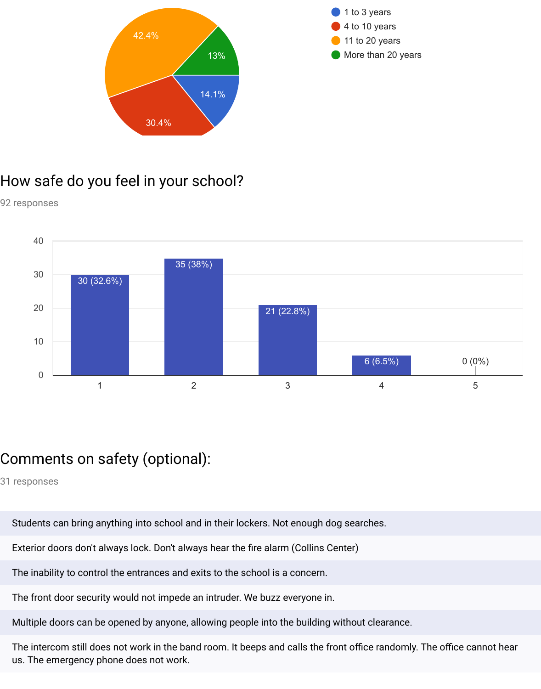

# How safe do you feel in your school?

92 responses



# Comments on safety (optional):

31 responses

Students can bring anything into school and in their lockers. Not enough dog searches.

Exterior doors don't always lock. Don't always hear the fire alarm (Collins Center)

The inability to control the entrances and exits to the school is a concern.

The front door security would not impede an intruder. We buzz everyone in.

Multiple doors can be opened by anyone, allowing people into the building without clearance.

The intercom still does not work in the band room. It beeps and calls the front office randomly. The office cannot hear us. The emergency phone does not work.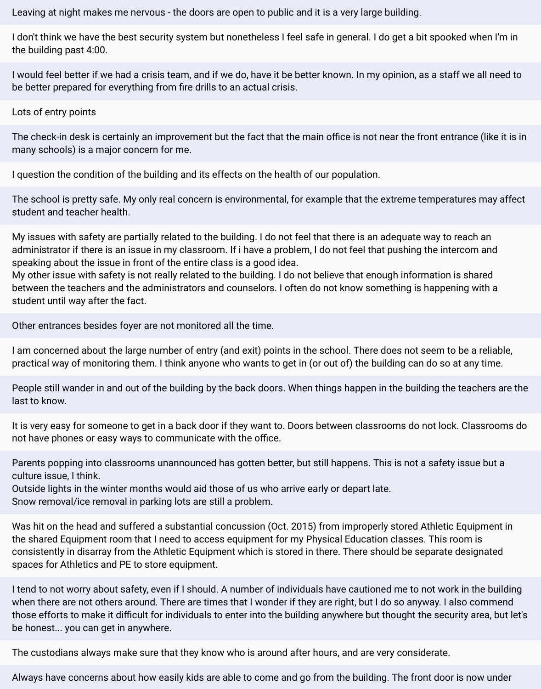Leaving at night makes me nervous - the doors are open to public and it is a very large building.

I don't think we have the best security system but nonetheless I feel safe in general. I do get a bit spooked when I'm in the building past 4:00.

I would feel better if we had a crisis team, and if we do, have it be better known. In my opinion, as a staff we all need to be better prepared for everything from fire drills to an actual crisis.

Lots of entry points

The check-in desk is certainly an improvement but the fact that the main office is not near the front entrance (like it is in many schools) is a major concern for me.

I question the condition of the building and its effects on the health of our population.

The school is pretty safe. My only real concern is environmental, for example that the extreme temperatures may affect student and teacher health.

My issues with safety are partially related to the building. I do not feel that there is an adequate way to reach an administrator if there is an issue in my classroom. If i have a problem, I do not feel that pushing the intercom and speaking about the issue in front of the entire class is a good idea.

My other issue with safety is not really related to the building. I do not believe that enough information is shared between the teachers and the administrators and counselors. I often do not know something is happening with a student until way after the fact.

Other entrances besides foyer are not monitored all the time.

I am concerned about the large number of entry (and exit) points in the school. There does not seem to be a reliable, practical way of monitoring them. I think anyone who wants to get in (or out of) the building can do so at any time.

People still wander in and out of the building by the back doors. When things happen in the building the teachers are the last to know.

It is very easy for someone to get in a back door if they want to. Doors between classrooms do not lock. Classrooms do not have phones or easy ways to communicate with the office.

Parents popping into classrooms unannounced has gotten better, but still happens. This is not a safety issue but a culture issue, I think.

Outside lights in the winter months would aid those of us who arrive early or depart late. Snow removal/ice removal in parking lots are still a problem.

Was hit on the head and suffered a substantial concussion (Oct. 2015) from improperly stored Athletic Equipment in the shared Equipment room that I need to access equipment for my Physical Education classes. This room is consistently in disarray from the Athletic Equipment which is stored in there. There should be separate designated spaces for Athletics and PE to store equipment.

I tend to not worry about safety, even if I should. A number of individuals have cautioned me to not work in the building when there are not others around. There are times that I wonder if they are right, but I do so anyway. I also commend those efforts to make it difficult for individuals to enter into the building anywhere but thought the security area, but let's be honest... you can get in anywhere.

The custodians always make sure that they know who is around after hours, and are very considerate.

Always have concerns about how easily kids are able to come and go from the building. The front door is now under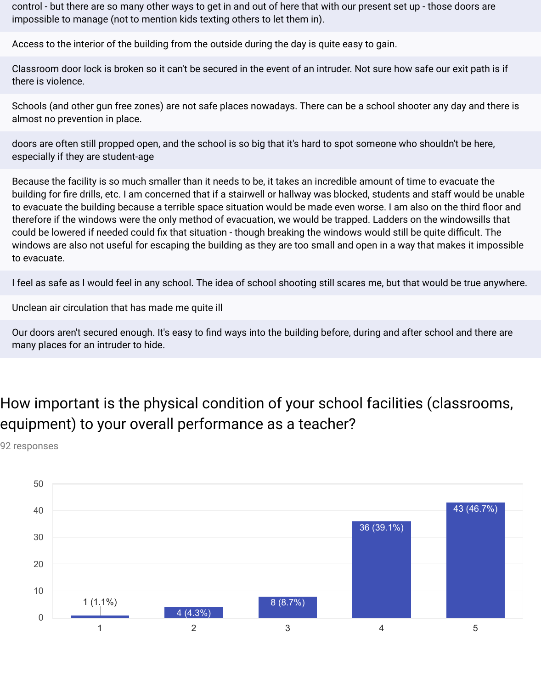control - but there are so many other ways to get in and out of here that with our present set up - those doors are impossible to manage (not to mention kids texting others to let them in).

Access to the interior of the building from the outside during the day is quite easy to gain.

Classroom door lock is broken so it can't be secured in the event of an intruder. Not sure how safe our exit path is if there is violence.

Schools (and other gun free zones) are not safe places nowadays. There can be a school shooter any day and there is almost no prevention in place.

doors are often still propped open, and the school is so big that it's hard to spot someone who shouldn't be here, especially if they are student-age

Because the facility is so much smaller than it needs to be, it takes an incredible amount of time to evacuate the building for fire drills, etc. I am concerned that if a stairwell or hallway was blocked, students and staff would be unable to evacuate the building because a terrible space situation would be made even worse. I am also on the third floor and therefore if the windows were the only method of evacuation, we would be trapped. Ladders on the windowsills that could be lowered if needed could fix that situation - though breaking the windows would still be quite difficult. The windows are also not useful for escaping the building as they are too small and open in a way that makes it impossible to evacuate.

I feel as safe as I would feel in any school. The idea of school shooting still scares me, but that would be true anywhere.

Unclean air circulation that has made me quite ill

Our doors aren't secured enough. It's easy to find ways into the building before, during and after school and there are many places for an intruder to hide.

# How important is the physical condition of your school facilities (classrooms, equipment) to your overall performance as a teacher?

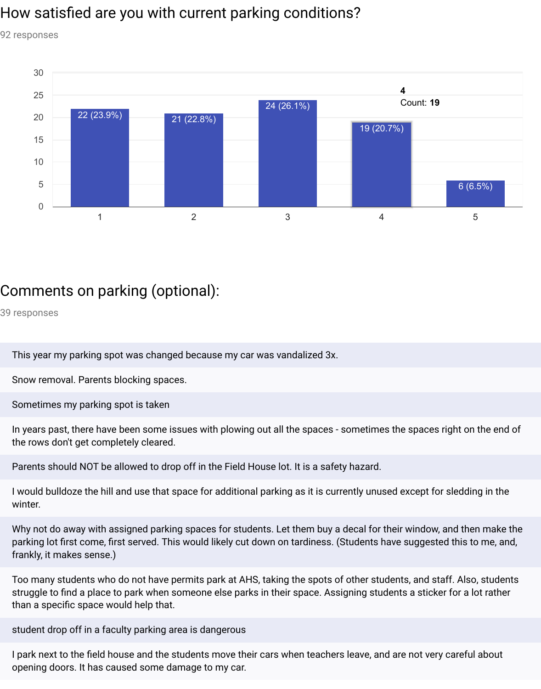## How satisfied are you with current parking conditions?

92 responses



# Comments on parking (optional):

39 responses

This year my parking spot was changed because my car was vandalized 3x.

Snow removal. Parents blocking spaces.

Sometimes my parking spot is taken

In years past, there have been some issues with plowing out all the spaces - sometimes the spaces right on the end of the rows don't get completely cleared.

Parents should NOT be allowed to drop off in the Field House lot. It is a safety hazard.

I would bulldoze the hill and use that space for additional parking as it is currently unused except for sledding in the winter.

Why not do away with assigned parking spaces for students. Let them buy a decal for their window, and then make the parking lot first come, first served. This would likely cut down on tardiness. (Students have suggested this to me, and, frankly, it makes sense.)

Too many students who do not have permits park at AHS, taking the spots of other students, and staff. Also, students struggle to find a place to park when someone else parks in their space. Assigning students a sticker for a lot rather than a specific space would help that.

student drop off in a faculty parking area is dangerous

I park next to the field house and the students move their cars when teachers leave, and are not very careful about opening doors. It has caused some damage to my car.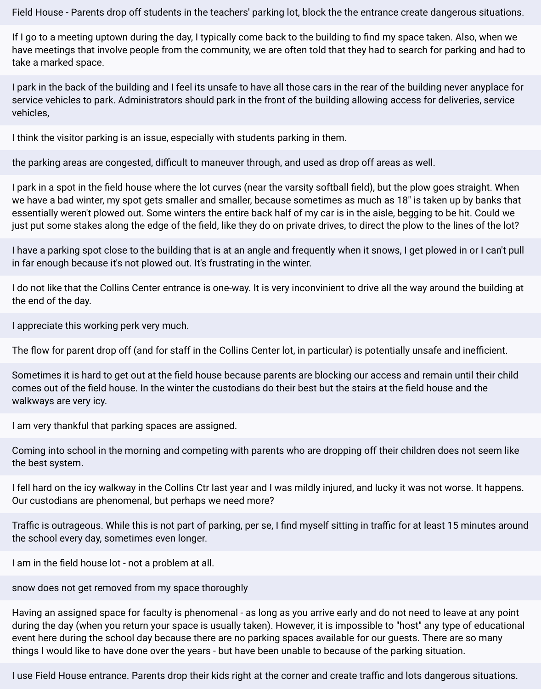Field House - Parents drop off students in the teachers' parking lot, block the the entrance create dangerous situations.

If I go to a meeting uptown during the day, I typically come back to the building to find my space taken. Also, when we have meetings that involve people from the community, we are often told that they had to search for parking and had to take a marked space.

I park in the back of the building and I feel its unsafe to have all those cars in the rear of the building never anyplace for service vehicles to park. Administrators should park in the front of the building allowing access for deliveries, service vehicles,

I think the visitor parking is an issue, especially with students parking in them.

the parking areas are congested, difficult to maneuver through, and used as drop off areas as well.

I park in a spot in the field house where the lot curves (near the varsity softball field), but the plow goes straight. When we have a bad winter, my spot gets smaller and smaller, because sometimes as much as 18" is taken up by banks that essentially weren't plowed out. Some winters the entire back half of my car is in the aisle, begging to be hit. Could we just put some stakes along the edge of the field, like they do on private drives, to direct the plow to the lines of the lot?

I have a parking spot close to the building that is at an angle and frequently when it snows, I get plowed in or I can't pull in far enough because it's not plowed out. It's frustrating in the winter.

I do not like that the Collins Center entrance is one-way. It is very inconvinient to drive all the way around the building at the end of the day.

I appreciate this working perk very much.

The flow for parent drop off (and for staff in the Collins Center lot, in particular) is potentially unsafe and inefficient.

Sometimes it is hard to get out at the field house because parents are blocking our access and remain until their child comes out of the field house. In the winter the custodians do their best but the stairs at the field house and the walkways are very icy.

I am very thankful that parking spaces are assigned.

Coming into school in the morning and competing with parents who are dropping off their children does not seem like the best system.

I fell hard on the icy walkway in the Collins Ctr last year and I was mildly injured, and lucky it was not worse. It happens. Our custodians are phenomenal, but perhaps we need more?

Traffic is outrageous. While this is not part of parking, per se, I find myself sitting in traffic for at least 15 minutes around the school every day, sometimes even longer.

I am in the field house lot - not a problem at all.

snow does not get removed from my space thoroughly

Having an assigned space for faculty is phenomenal - as long as you arrive early and do not need to leave at any point during the day (when you return your space is usually taken). However, it is impossible to "host" any type of educational event here during the school day because there are no parking spaces available for our guests. There are so many things I would like to have done over the years - but have been unable to because of the parking situation.

I use Field House entrance. Parents drop their kids right at the corner and create traffic and lots dangerous situations.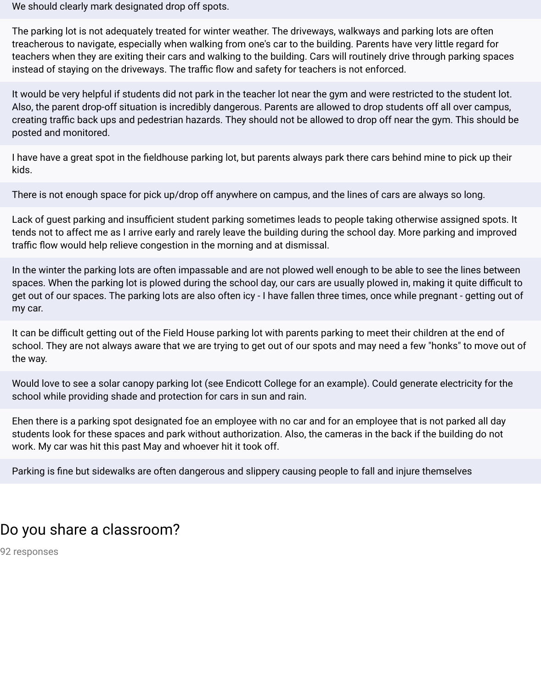We should clearly mark designated drop off spots.

The parking lot is not adequately treated for winter weather. The driveways, walkways and parking lots are often treacherous to navigate, especially when walking from one's car to the building. Parents have very little regard for teachers when they are exiting their cars and walking to the building. Cars will routinely drive through parking spaces instead of staying on the driveways. The traffic flow and safety for teachers is not enforced.

It would be very helpful if students did not park in the teacher lot near the gym and were restricted to the student lot. Also, the parent drop-off situation is incredibly dangerous. Parents are allowed to drop students off all over campus, creating traffic back ups and pedestrian hazards. They should not be allowed to drop off near the gym. This should be posted and monitored.

I have have a great spot in the fieldhouse parking lot, but parents always park there cars behind mine to pick up their kids.

There is not enough space for pick up/drop off anywhere on campus, and the lines of cars are always so long.

Lack of guest parking and insufficient student parking sometimes leads to people taking otherwise assigned spots. It tends not to affect me as I arrive early and rarely leave the building during the school day. More parking and improved traffic flow would help relieve congestion in the morning and at dismissal.

In the winter the parking lots are often impassable and are not plowed well enough to be able to see the lines between spaces. When the parking lot is plowed during the school day, our cars are usually plowed in, making it quite difficult to get out of our spaces. The parking lots are also often icy - I have fallen three times, once while pregnant - getting out of my car.

It can be difficult getting out of the Field House parking lot with parents parking to meet their children at the end of school. They are not always aware that we are trying to get out of our spots and may need a few "honks" to move out of the way.

Would love to see a solar canopy parking lot (see Endicott College for an example). Could generate electricity for the school while providing shade and protection for cars in sun and rain.

Ehen there is a parking spot designated foe an employee with no car and for an employee that is not parked all day students look for these spaces and park without authorization. Also, the cameras in the back if the building do not work. My car was hit this past May and whoever hit it took off.

Parking is fine but sidewalks are often dangerous and slippery causing people to fall and injure themselves

### Do you share a classroom?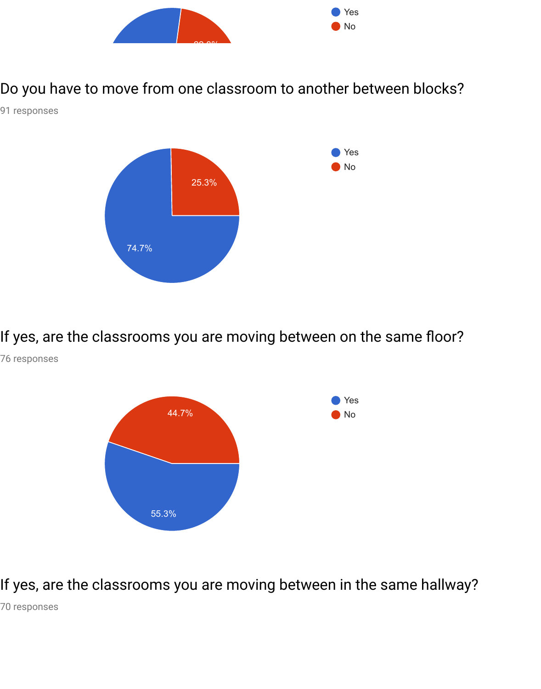

Do you have to move from one classroom to another between blocks?

91 responses



If yes, are the classrooms you are moving between on the same floor?

76 responses



If yes, are the classrooms you are moving between in the same hallway?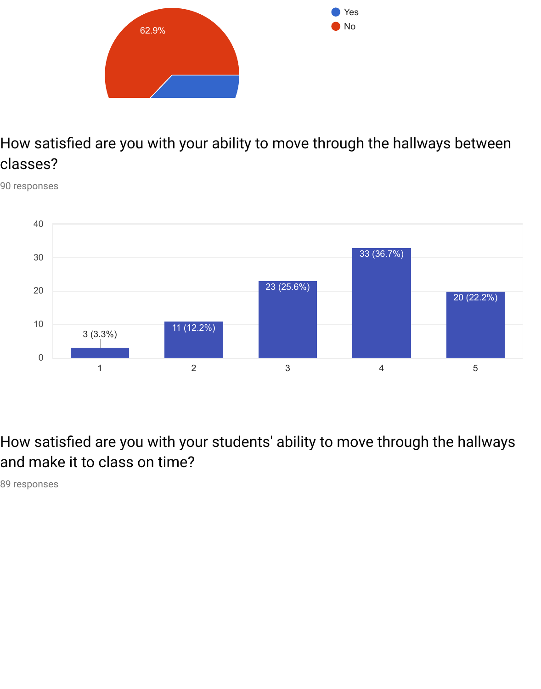

# How satisfied are you with your ability to move through the hallways between classes?

90 responses



How satisfied are you with your students' ability to move through the hallways and make it to class on time?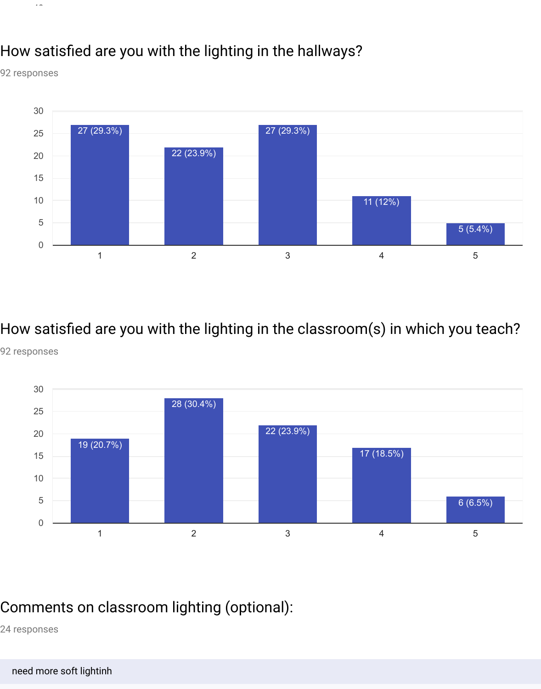# How satisfied are you with the lighting in the hallways?

92 responses

 $\sim$   $\sim$ 



How satisfied are you with the lighting in the classroom(s) in which you teach?

92 responses



### Comments on classroom lighting (optional):

24 responses

#### need more soft lightinh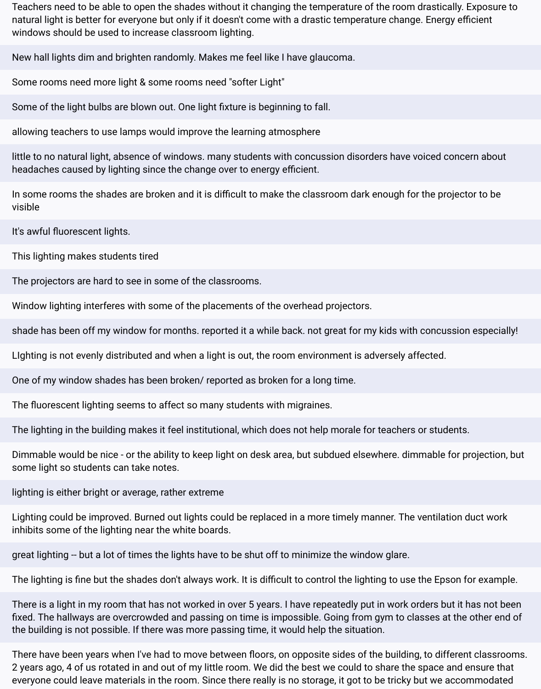Teachers need to be able to open the shades without it changing the temperature of the room drastically. Exposure to natural light is better for everyone but only if it doesn't come with a drastic temperature change. Energy efficient windows should be used to increase classroom lighting.

New hall lights dim and brighten randomly. Makes me feel like I have glaucoma.

Some rooms need more light & some rooms need "softer Light"

Some of the light bulbs are blown out. One light fixture is beginning to fall.

allowing teachers to use lamps would improve the learning atmosphere

little to no natural light, absence of windows. many students with concussion disorders have voiced concern about headaches caused by lighting since the change over to energy efficient.

In some rooms the shades are broken and it is difficult to make the classroom dark enough for the projector to be visible

It's awful fluorescent lights.

This lighting makes students tired

The projectors are hard to see in some of the classrooms.

Window lighting interferes with some of the placements of the overhead projectors.

shade has been off my window for months. reported it a while back. not great for my kids with concussion especially!

LIghting is not evenly distributed and when a light is out, the room environment is adversely affected.

One of my window shades has been broken/ reported as broken for a long time.

The fluorescent lighting seems to affect so many students with migraines.

The lighting in the building makes it feel institutional, which does not help morale for teachers or students.

Dimmable would be nice - or the ability to keep light on desk area, but subdued elsewhere. dimmable for projection, but some light so students can take notes.

lighting is either bright or average, rather extreme

Lighting could be improved. Burned out lights could be replaced in a more timely manner. The ventilation duct work inhibits some of the lighting near the white boards.

great lighting -- but a lot of times the lights have to be shut off to minimize the window glare.

The lighting is fine but the shades don't always work. It is difficult to control the lighting to use the Epson for example.

There is a light in my room that has not worked in over 5 years. I have repeatedly put in work orders but it has not been fixed. The hallways are overcrowded and passing on time is impossible. Going from gym to classes at the other end of the building is not possible. If there was more passing time, it would help the situation.

There have been years when I've had to move between floors, on opposite sides of the building, to different classrooms. 2 years ago, 4 of us rotated in and out of my little room. We did the best we could to share the space and ensure that everyone could leave materials in the room. Since there really is no storage, it got to be tricky but we accommodated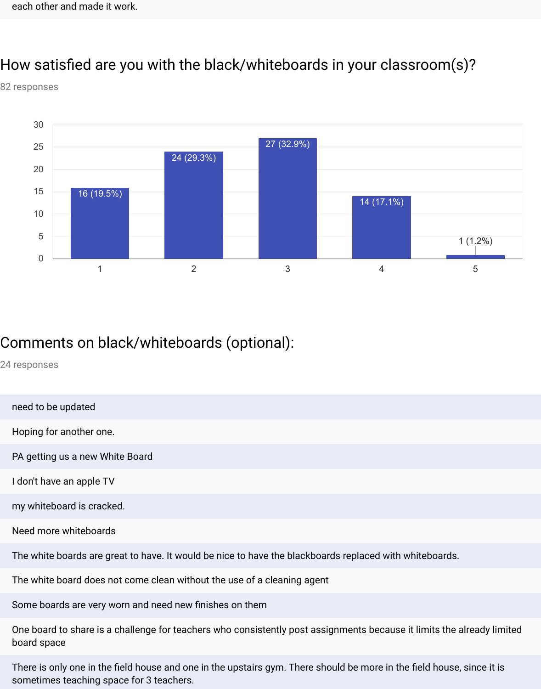### How satisfied are you with the black/whiteboards in your classroom(s)?

82 responses



# Comments on black/whiteboards (optional):

24 responses

board space

need to be updated Hoping for another one. PA getting us a new White Board I don't have an apple TV my whiteboard is cracked. Need more whiteboards The white boards are great to have. It would be nice to have the blackboards replaced with whiteboards. The white board does not come clean without the use of a cleaning agent Some boards are very worn and need new finishes on them One board to share is a challenge for teachers who consistently post assignments because it limits the already limited

There is only one in the field house and one in the upstairs gym. There should be more in the field house, since it is sometimes teaching space for 3 teachers.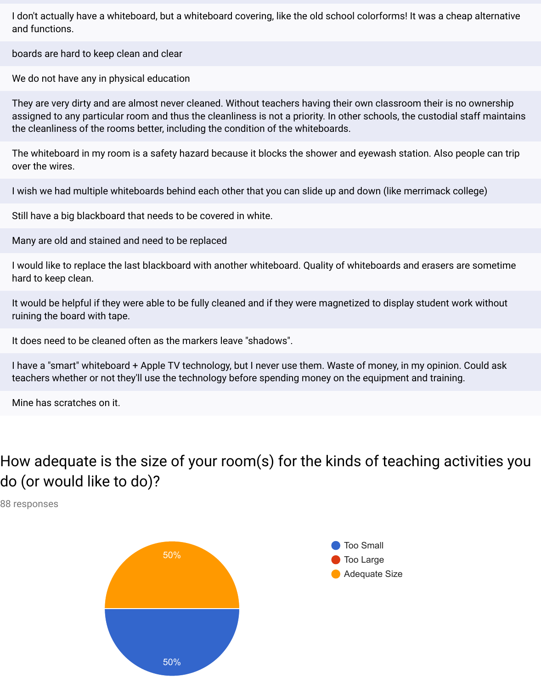I don't actually have a whiteboard, but a whiteboard covering, like the old school colorforms! It was a cheap alternative and functions.

boards are hard to keep clean and clear

We do not have any in physical education

They are very dirty and are almost never cleaned. Without teachers having their own classroom their is no ownership assigned to any particular room and thus the cleanliness is not a priority. In other schools, the custodial staff maintains the cleanliness of the rooms better, including the condition of the whiteboards.

The whiteboard in my room is a safety hazard because it blocks the shower and eyewash station. Also people can trip over the wires.

I wish we had multiple whiteboards behind each other that you can slide up and down (like merrimack college)

Still have a big blackboard that needs to be covered in white.

Many are old and stained and need to be replaced

I would like to replace the last blackboard with another whiteboard. Quality of whiteboards and erasers are sometime hard to keep clean.

It would be helpful if they were able to be fully cleaned and if they were magnetized to display student work without ruining the board with tape.

It does need to be cleaned often as the markers leave "shadows".

I have a "smart" whiteboard + Apple TV technology, but I never use them. Waste of money, in my opinion. Could ask teachers whether or not they'll use the technology before spending money on the equipment and training.

Mine has scratches on it.

# How adequate is the size of your room(s) for the kinds of teaching activities you do (or would like to do)?

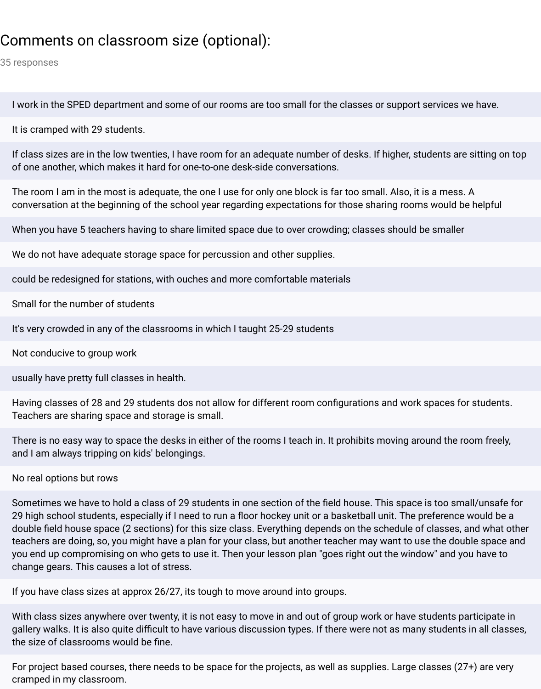# Comments on classroom size (optional):

35 responses

I work in the SPED department and some of our rooms are too small for the classes or support services we have.

It is cramped with 29 students.

If class sizes are in the low twenties, I have room for an adequate number of desks. If higher, students are sitting on top of one another, which makes it hard for one-to-one desk-side conversations.

The room I am in the most is adequate, the one I use for only one block is far too small. Also, it is a mess. A conversation at the beginning of the school year regarding expectations for those sharing rooms would be helpful

When you have 5 teachers having to share limited space due to over crowding; classes should be smaller

We do not have adequate storage space for percussion and other supplies.

could be redesigned for stations, with ouches and more comfortable materials

Small for the number of students

It's very crowded in any of the classrooms in which I taught 25-29 students

Not conducive to group work

usually have pretty full classes in health.

Having classes of 28 and 29 students dos not allow for different room configurations and work spaces for students. Teachers are sharing space and storage is small.

There is no easy way to space the desks in either of the rooms I teach in. It prohibits moving around the room freely, and I am always tripping on kids' belongings.

No real options but rows

Sometimes we have to hold a class of 29 students in one section of the field house. This space is too small/unsafe for 29 high school students, especially if I need to run a floor hockey unit or a basketball unit. The preference would be a double field house space (2 sections) for this size class. Everything depends on the schedule of classes, and what other teachers are doing, so, you might have a plan for your class, but another teacher may want to use the double space and you end up compromising on who gets to use it. Then your lesson plan "goes right out the window" and you have to change gears. This causes a lot of stress.

If you have class sizes at approx 26/27, its tough to move around into groups.

With class sizes anywhere over twenty, it is not easy to move in and out of group work or have students participate in gallery walks. It is also quite difficult to have various discussion types. If there were not as many students in all classes, the size of classrooms would be fine.

For project based courses, there needs to be space for the projects, as well as supplies. Large classes (27+) are very cramped in my classroom.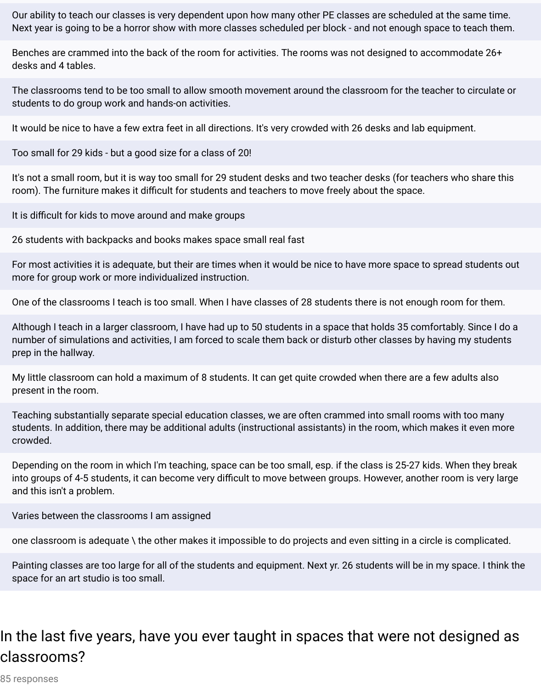Our ability to teach our classes is very dependent upon how many other PE classes are scheduled at the same time. Next year is going to be a horror show with more classes scheduled per block - and not enough space to teach them.

Benches are crammed into the back of the room for activities. The rooms was not designed to accommodate 26+ desks and 4 tables.

The classrooms tend to be too small to allow smooth movement around the classroom for the teacher to circulate or students to do group work and hands-on activities.

It would be nice to have a few extra feet in all directions. It's very crowded with 26 desks and lab equipment.

Too small for 29 kids - but a good size for a class of 20!

It's not a small room, but it is way too small for 29 student desks and two teacher desks (for teachers who share this room). The furniture makes it difficult for students and teachers to move freely about the space.

It is difficult for kids to move around and make groups

26 students with backpacks and books makes space small real fast

For most activities it is adequate, but their are times when it would be nice to have more space to spread students out more for group work or more individualized instruction.

One of the classrooms I teach is too small. When I have classes of 28 students there is not enough room for them.

Although I teach in a larger classroom, I have had up to 50 students in a space that holds 35 comfortably. Since I do a number of simulations and activities, I am forced to scale them back or disturb other classes by having my students prep in the hallway.

My little classroom can hold a maximum of 8 students. It can get quite crowded when there are a few adults also present in the room.

Teaching substantially separate special education classes, we are often crammed into small rooms with too many students. In addition, there may be additional adults (instructional assistants) in the room, which makes it even more crowded.

Depending on the room in which I'm teaching, space can be too small, esp. if the class is 25-27 kids. When they break into groups of 4-5 students, it can become very difficult to move between groups. However, another room is very large and this isn't a problem.

Varies between the classrooms I am assigned

one classroom is adequate \ the other makes it impossible to do projects and even sitting in a circle is complicated.

Painting classes are too large for all of the students and equipment. Next yr. 26 students will be in my space. I think the space for an art studio is too small.

## In the last five years, have you ever taught in spaces that were not designed as classrooms?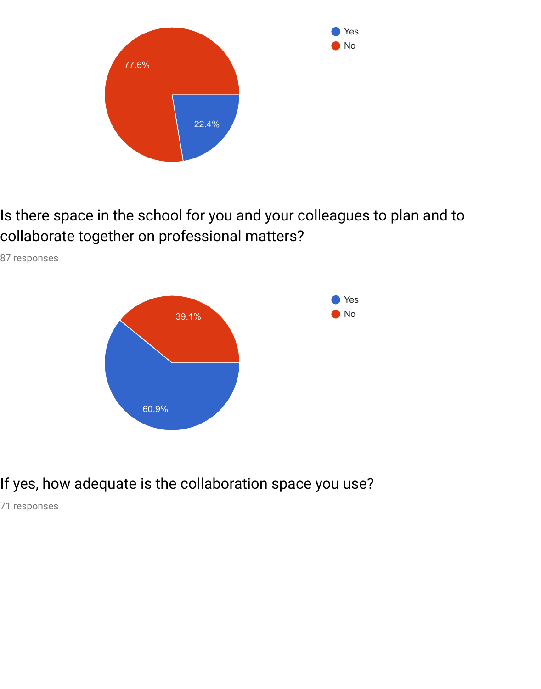

Is there space in the school for you and your colleagues to plan and to collaborate together on professional matters?



87 responses

# If yes, how adequate is the collaboration space you use?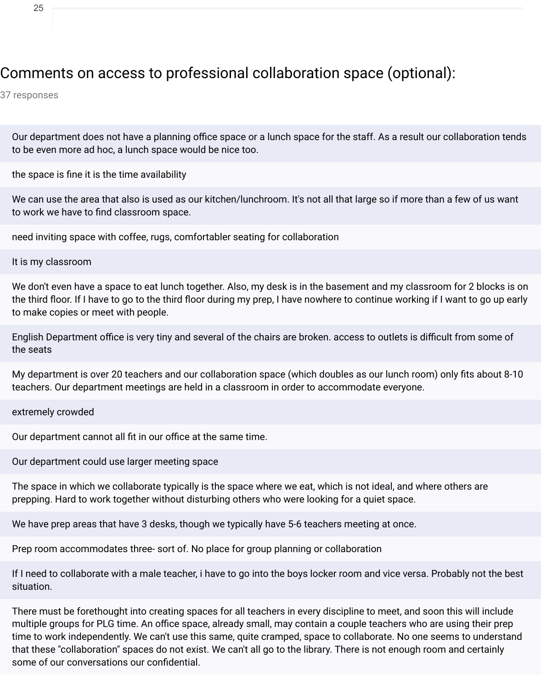### Comments on access to professional collaboration space (optional):

37 responses

Our department does not have a planning office space or a lunch space for the staff. As a result our collaboration tends to be even more ad hoc, a lunch space would be nice too.

the space is fine it is the time availability

We can use the area that also is used as our kitchen/lunchroom. It's not all that large so if more than a few of us want to work we have to find classroom space.

need inviting space with coffee, rugs, comfortabler seating for collaboration

It is my classroom

We don't even have a space to eat lunch together. Also, my desk is in the basement and my classroom for 2 blocks is on the third floor. If I have to go to the third floor during my prep, I have nowhere to continue working if I want to go up early to make copies or meet with people.

English Department office is very tiny and several of the chairs are broken. access to outlets is difficult from some of the seats

My department is over 20 teachers and our collaboration space (which doubles as our lunch room) only fits about 8-10 teachers. Our department meetings are held in a classroom in order to accommodate everyone.

extremely crowded

Our department cannot all fit in our office at the same time.

Our department could use larger meeting space

The space in which we collaborate typically is the space where we eat, which is not ideal, and where others are prepping. Hard to work together without disturbing others who were looking for a quiet space.

We have prep areas that have 3 desks, though we typically have 5-6 teachers meeting at once.

Prep room accommodates three- sort of. No place for group planning or collaboration

If I need to collaborate with a male teacher, i have to go into the boys locker room and vice versa. Probably not the best situation.

There must be forethought into creating spaces for all teachers in every discipline to meet, and soon this will include multiple groups for PLG time. An office space, already small, may contain a couple teachers who are using their prep time to work independently. We can't use this same, quite cramped, space to collaborate. No one seems to understand that these "collaboration" spaces do not exist. We can't all go to the library. There is not enough room and certainly some of our conversations our confidential.

25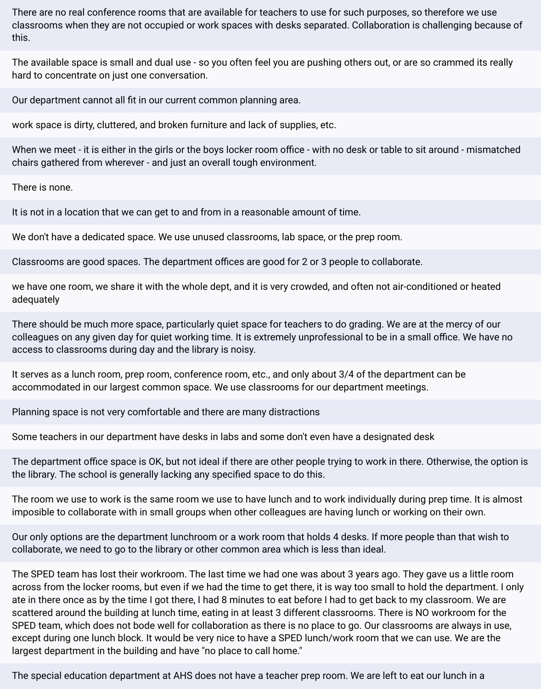There are no real conference rooms that are available for teachers to use for such purposes, so therefore we use classrooms when they are not occupied or work spaces with desks separated. Collaboration is challenging because of this.

The available space is small and dual use - so you often feel you are pushing others out, or are so crammed its really hard to concentrate on just one conversation.

Our department cannot all fit in our current common planning area.

work space is dirty, cluttered, and broken furniture and lack of supplies, etc.

When we meet - it is either in the girls or the boys locker room office - with no desk or table to sit around - mismatched chairs gathered from wherever - and just an overall tough environment.

There is none.

It is not in a location that we can get to and from in a reasonable amount of time.

We don't have a dedicated space. We use unused classrooms, lab space, or the prep room.

Classrooms are good spaces. The department offices are good for 2 or 3 people to collaborate.

we have one room, we share it with the whole dept, and it is very crowded, and often not air-conditioned or heated adequately

There should be much more space, particularly quiet space for teachers to do grading. We are at the mercy of our colleagues on any given day for quiet working time. It is extremely unprofessional to be in a small office. We have no access to classrooms during day and the library is noisy.

It serves as a lunch room, prep room, conference room, etc., and only about 3/4 of the department can be accommodated in our largest common space. We use classrooms for our department meetings.

Planning space is not very comfortable and there are many distractions

Some teachers in our department have desks in labs and some don't even have a designated desk

The department office space is OK, but not ideal if there are other people trying to work in there. Otherwise, the option is the library. The school is generally lacking any specified space to do this.

The room we use to work is the same room we use to have lunch and to work individually during prep time. It is almost imposible to collaborate with in small groups when other colleagues are having lunch or working on their own.

Our only options are the department lunchroom or a work room that holds 4 desks. If more people than that wish to collaborate, we need to go to the library or other common area which is less than ideal.

The SPED team has lost their workroom. The last time we had one was about 3 years ago. They gave us a little room across from the locker rooms, but even if we had the time to get there, it is way too small to hold the department. I only ate in there once as by the time I got there, I had 8 minutes to eat before I had to get back to my classroom. We are scattered around the building at lunch time, eating in at least 3 different classrooms. There is NO workroom for the SPED team, which does not bode well for collaboration as there is no place to go. Our classrooms are always in use, except during one lunch block. It would be very nice to have a SPED lunch/work room that we can use. We are the largest department in the building and have "no place to call home."

The special education department at AHS does not have a teacher prep room. We are left to eat our lunch in a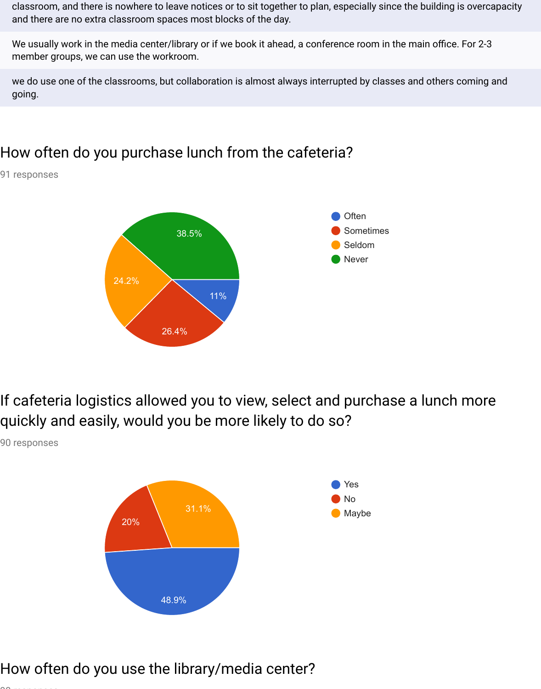classroom, and there is nowhere to leave notices or to sit together to plan, especially since the building is overcapacity and there are no extra classroom spaces most blocks of the day.

We usually work in the media center/library or if we book it ahead, a conference room in the main office. For 2-3 member groups, we can use the workroom.

we do use one of the classrooms, but collaboration is almost always interrupted by classes and others coming and going.

## How often do you purchase lunch from the cafeteria?

91 responses



If cafeteria logistics allowed you to view, select and purchase a lunch more quickly and easily, would you be more likely to do so?

90 responses



# How often do you use the library/media center?

 $\overline{\phantom{0}}$  responses to  $\overline{\phantom{0}}$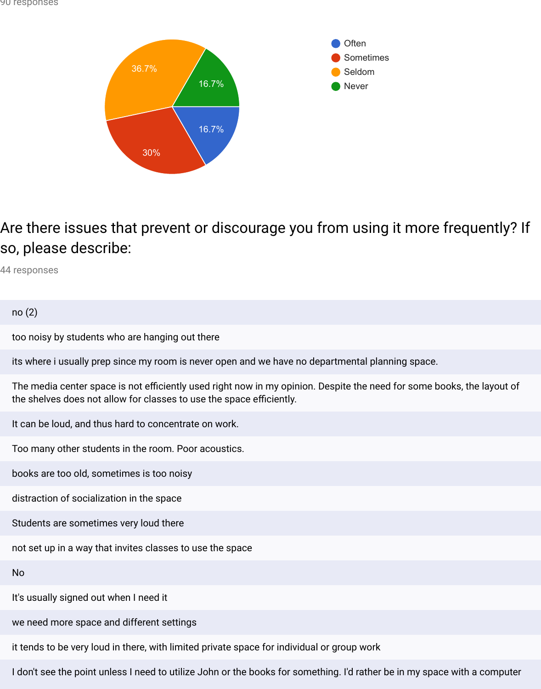

Are there issues that prevent or discourage you from using it more frequently? If so, please describe:

44 responses

no (2)

too noisy by students who are hanging out there

its where i usually prep since my room is never open and we have no departmental planning space.

The media center space is not efficiently used right now in my opinion. Despite the need for some books, the layout of the shelves does not allow for classes to use the space efficiently.

It can be loud, and thus hard to concentrate on work.

Too many other students in the room. Poor acoustics.

books are too old, sometimes is too noisy

distraction of socialization in the space

Students are sometimes very loud there

not set up in a way that invites classes to use the space

No

It's usually signed out when I need it

we need more space and different settings

it tends to be very loud in there, with limited private space for individual or group work

I don't see the point unless I need to utilize John or the books for something. I'd rather be in my space with a computer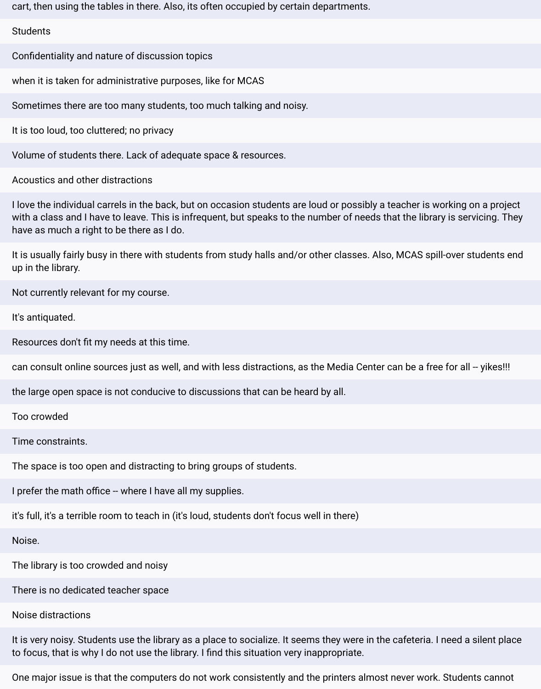cart, then using the tables in there. Also, its often occupied by certain departments.

#### **Students**

Confidentiality and nature of discussion topics

when it is taken for administrative purposes, like for MCAS

Sometimes there are too many students, too much talking and noisy.

It is too loud, too cluttered; no privacy

Volume of students there. Lack of adequate space & resources.

Acoustics and other distractions

I love the individual carrels in the back, but on occasion students are loud or possibly a teacher is working on a project with a class and I have to leave. This is infrequent, but speaks to the number of needs that the library is servicing. They have as much a right to be there as I do.

It is usually fairly busy in there with students from study halls and/or other classes. Also, MCAS spill-over students end up in the library.

Not currently relevant for my course.

It's antiquated.

Resources don't fit my needs at this time.

can consult online sources just as well, and with less distractions, as the Media Center can be a free for all -- yikes!!!

the large open space is not conducive to discussions that can be heard by all.

Too crowded

Time constraints.

The space is too open and distracting to bring groups of students.

I prefer the math office -- where I have all my supplies.

it's full, it's a terrible room to teach in (it's loud, students don't focus well in there)

Noise.

The library is too crowded and noisy

There is no dedicated teacher space

#### Noise distractions

It is very noisy. Students use the library as a place to socialize. It seems they were in the cafeteria. I need a silent place to focus, that is why I do not use the library. I find this situation very inappropriate.

One major issue is that the computers do not work consistently and the printers almost never work. Students cannot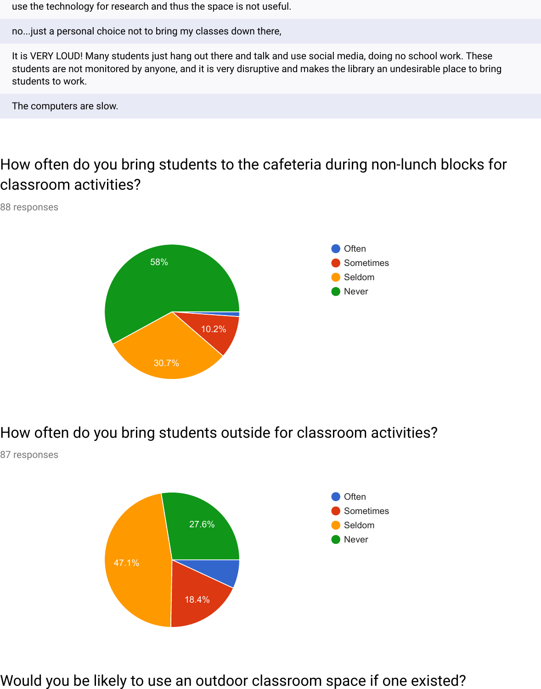use the technology for research and thus the space is not useful.

no...just a personal choice not to bring my classes down there,

It is VERY LOUD! Many students just hang out there and talk and use social media, doing no school work. These students are not monitored by anyone, and it is very disruptive and makes the library an undesirable place to bring students to work.

The computers are slow.

# How often do you bring students to the cafeteria during non-lunch blocks for classroom activities?

88 responses



How often do you bring students outside for classroom activities?

87 responses



Would you be likely to use an outdoor classroom space if one existed?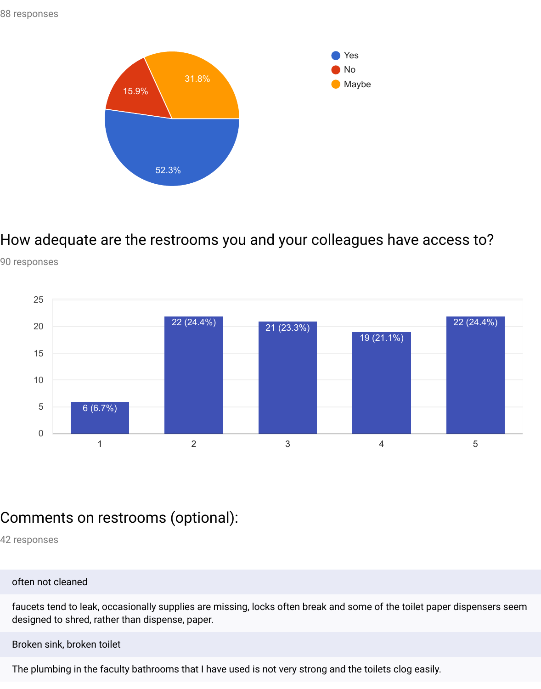

How adequate are the restrooms you and your colleagues have access to?





### Comments on restrooms (optional):

42 responses

#### often not cleaned

faucets tend to leak, occasionally supplies are missing, locks often break and some of the toilet paper dispensers seem designed to shred, rather than dispense, paper.

Broken sink, broken toilet

The plumbing in the faculty bathrooms that I have used is not very strong and the toilets clog easily.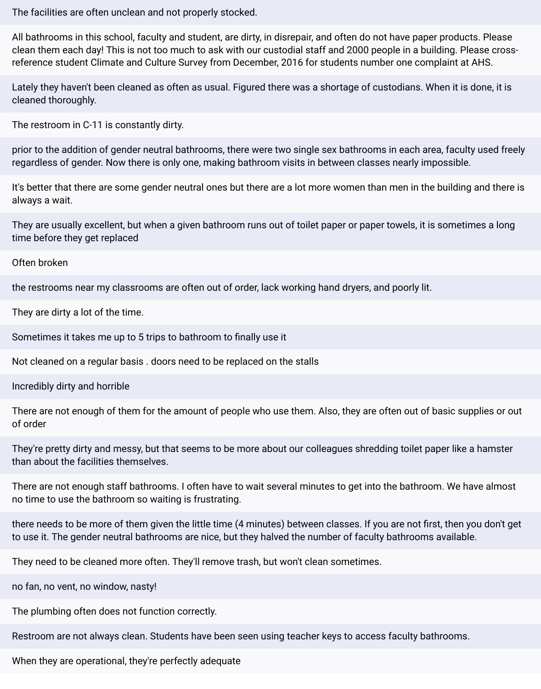The facilities are often unclean and not properly stocked.

All bathrooms in this school, faculty and student, are dirty, in disrepair, and often do not have paper products. Please clean them each day! This is not too much to ask with our custodial staff and 2000 people in a building. Please crossreference student Climate and Culture Survey from December, 2016 for students number one complaint at AHS.

Lately they haven't been cleaned as often as usual. Figured there was a shortage of custodians. When it is done, it is cleaned thoroughly.

The restroom in C-11 is constantly dirty.

prior to the addition of gender neutral bathrooms, there were two single sex bathrooms in each area, faculty used freely regardless of gender. Now there is only one, making bathroom visits in between classes nearly impossible.

It's better that there are some gender neutral ones but there are a lot more women than men in the building and there is always a wait.

They are usually excellent, but when a given bathroom runs out of toilet paper or paper towels, it is sometimes a long time before they get replaced

Often broken

the restrooms near my classrooms are often out of order, lack working hand dryers, and poorly lit.

They are dirty a lot of the time.

Sometimes it takes me up to 5 trips to bathroom to finally use it

Not cleaned on a regular basis . doors need to be replaced on the stalls

Incredibly dirty and horrible

There are not enough of them for the amount of people who use them. Also, they are often out of basic supplies or out of order

They're pretty dirty and messy, but that seems to be more about our colleagues shredding toilet paper like a hamster than about the facilities themselves.

There are not enough staff bathrooms. I often have to wait several minutes to get into the bathroom. We have almost no time to use the bathroom so waiting is frustrating.

there needs to be more of them given the little time (4 minutes) between classes. If you are not first, then you don't get to use it. The gender neutral bathrooms are nice, but they halved the number of faculty bathrooms available.

They need to be cleaned more often. They'll remove trash, but won't clean sometimes.

no fan, no vent, no window, nasty!

The plumbing often does not function correctly.

Restroom are not always clean. Students have been seen using teacher keys to access faculty bathrooms.

When they are operational, they're perfectly adequate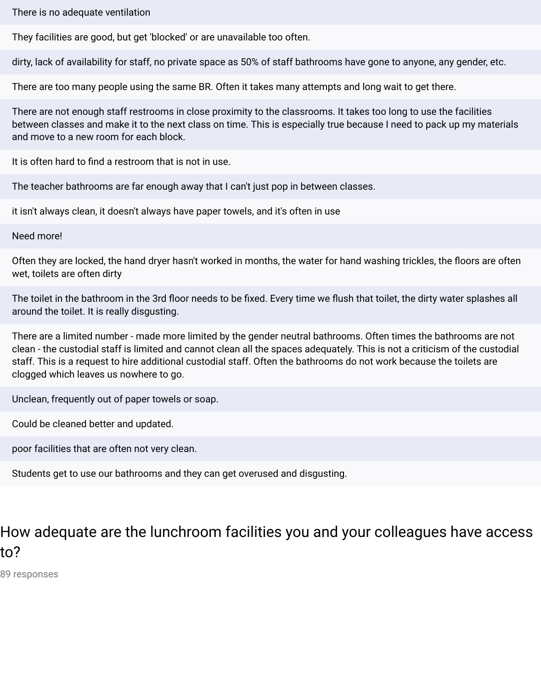There is no adequate ventilation

They facilities are good, but get 'blocked' or are unavailable too often.

dirty, lack of availability for staff, no private space as 50% of staff bathrooms have gone to anyone, any gender, etc.

There are too many people using the same BR. Often it takes many attempts and long wait to get there.

There are not enough staff restrooms in close proximity to the classrooms. It takes too long to use the facilities between classes and make it to the next class on time. This is especially true because I need to pack up my materials and move to a new room for each block.

It is often hard to find a restroom that is not in use.

The teacher bathrooms are far enough away that I can't just pop in between classes.

it isn't always clean, it doesn't always have paper towels, and it's often in use

Need more!

Often they are locked, the hand dryer hasn't worked in months, the water for hand washing trickles, the floors are often wet, toilets are often dirty

The toilet in the bathroom in the 3rd floor needs to be fixed. Every time we flush that toilet, the dirty water splashes all around the toilet. It is really disgusting.

There are a limited number - made more limited by the gender neutral bathrooms. Often times the bathrooms are not clean - the custodial staff is limited and cannot clean all the spaces adequately. This is not a criticism of the custodial staff. This is a request to hire additional custodial staff. Often the bathrooms do not work because the toilets are clogged which leaves us nowhere to go.

Unclean, frequently out of paper towels or soap.

Could be cleaned better and updated.

poor facilities that are often not very clean.

Students get to use our bathrooms and they can get overused and disgusting.

# How adequate are the lunchroom facilities you and your colleagues have access to?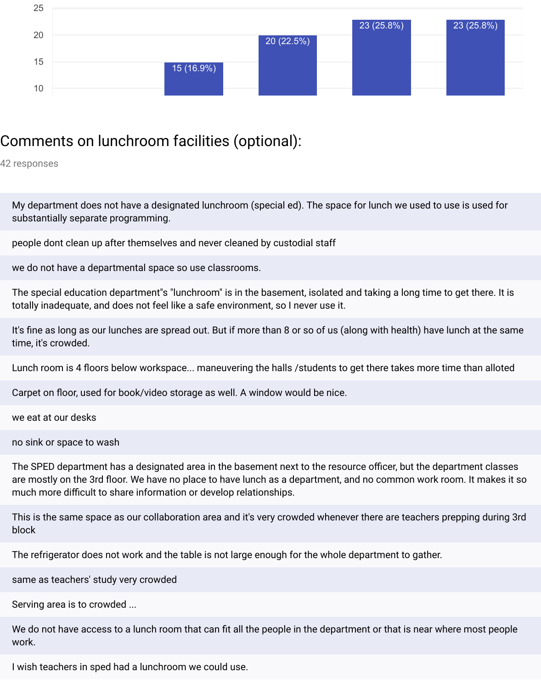

## Comments on lunchroom facilities (optional):

42 responses

My department does not have a designated lunchroom (special ed). The space for lunch we used to use is used for substantially separate programming.

people dont clean up after themselves and never cleaned by custodial staff

we do not have a departmental space so use classrooms.

The special education department"s "lunchroom" is in the basement, isolated and taking a long time to get there. It is totally inadequate, and does not feel like a safe environment, so I never use it.

It's fine as long as our lunches are spread out. But if more than 8 or so of us (along with health) have lunch at the same time, it's crowded.

Lunch room is 4 floors below workspace... maneuvering the halls /students to get there takes more time than alloted

Carpet on floor, used for book/video storage as well. A window would be nice.

we eat at our desks

no sink or space to wash

The SPED department has a designated area in the basement next to the resource officer, but the department classes are mostly on the 3rd floor. We have no place to have lunch as a department, and no common work room. It makes it so much more difficult to share information or develop relationships.

This is the same space as our collaboration area and it's very crowded whenever there are teachers prepping during 3rd block

The refrigerator does not work and the table is not large enough for the whole department to gather.

same as teachers' study very crowded

Serving area is to crowded ...

We do not have access to a lunch room that can fit all the people in the department or that is near where most people work.

I wish teachers in sped had a lunchroom we could use.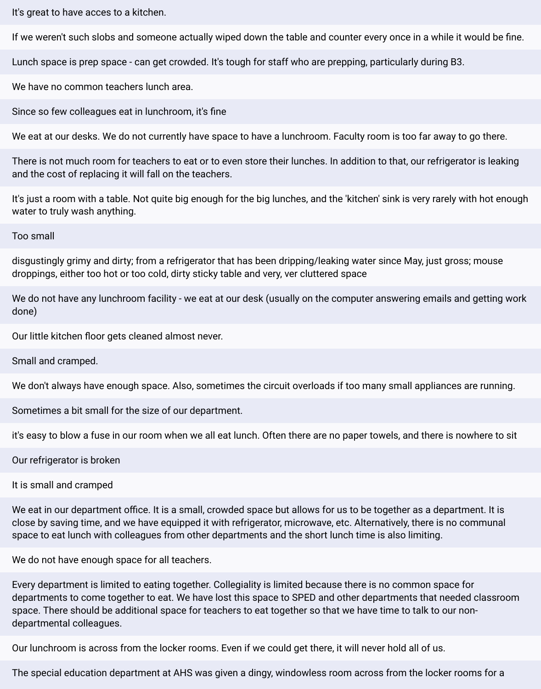It's great to have acces to a kitchen.

If we weren't such slobs and someone actually wiped down the table and counter every once in a while it would be fine.

Lunch space is prep space - can get crowded. It's tough for staff who are prepping, particularly during B3.

We have no common teachers lunch area.

Since so few colleagues eat in lunchroom, it's fine

We eat at our desks. We do not currently have space to have a lunchroom. Faculty room is too far away to go there.

There is not much room for teachers to eat or to even store their lunches. In addition to that, our refrigerator is leaking and the cost of replacing it will fall on the teachers.

It's just a room with a table. Not quite big enough for the big lunches, and the 'kitchen' sink is very rarely with hot enough water to truly wash anything.

Too small

disgustingly grimy and dirty; from a refrigerator that has been dripping/leaking water since May, just gross; mouse droppings, either too hot or too cold, dirty sticky table and very, ver cluttered space

We do not have any lunchroom facility - we eat at our desk (usually on the computer answering emails and getting work done)

Our little kitchen floor gets cleaned almost never.

Small and cramped.

We don't always have enough space. Also, sometimes the circuit overloads if too many small appliances are running.

Sometimes a bit small for the size of our department.

it's easy to blow a fuse in our room when we all eat lunch. Often there are no paper towels, and there is nowhere to sit

Our refrigerator is broken

It is small and cramped

We eat in our department office. It is a small, crowded space but allows for us to be together as a department. It is close by saving time, and we have equipped it with refrigerator, microwave, etc. Alternatively, there is no communal space to eat lunch with colleagues from other departments and the short lunch time is also limiting.

We do not have enough space for all teachers.

Every department is limited to eating together. Collegiality is limited because there is no common space for departments to come together to eat. We have lost this space to SPED and other departments that needed classroom space. There should be additional space for teachers to eat together so that we have time to talk to our nondepartmental colleagues.

Our lunchroom is across from the locker rooms. Even if we could get there, it will never hold all of us.

The special education department at AHS was given a dingy, windowless room across from the locker rooms for a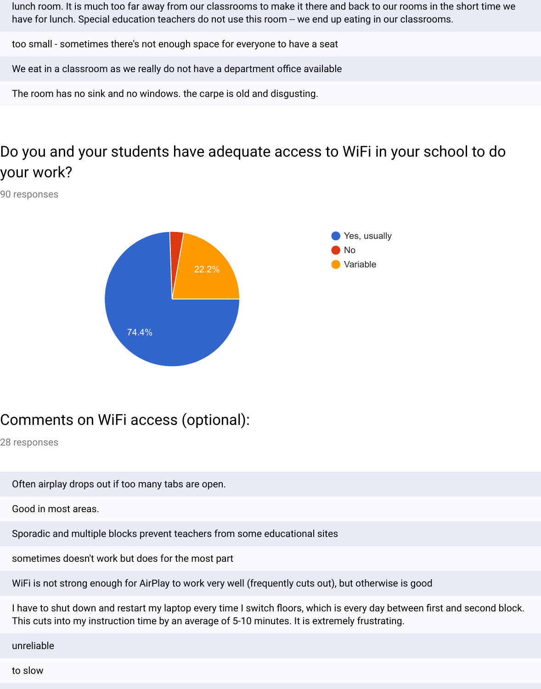lunch room. It is much too far away from our classrooms to make it there and back to our rooms in the short time we have for lunch. Special education teachers do not use this room -- we end up eating in our classrooms.

too small - sometimes there's not enough space for everyone to have a seat

We eat in a classroom as we really do not have a department office available

The room has no sink and no windows. the carpe is old and disgusting.

# Do you and your students have adequate access to WiFi in your school to do your work?

90 responses



## Comments on WiFi access (optional):

28 responses

- Often airplay drops out if too many tabs are open.
- Good in most areas.
- Sporadic and multiple blocks prevent teachers from some educational sites
- sometimes doesn't work but does for the most part
- WiFi is not strong enough for AirPlay to work very well (frequently cuts out), but otherwise is good

I have to shut down and restart my laptop every time I switch floors, which is every day between first and second block. This cuts into my instruction time by an average of 5-10 minutes. It is extremely frustrating.

unreliable

to slow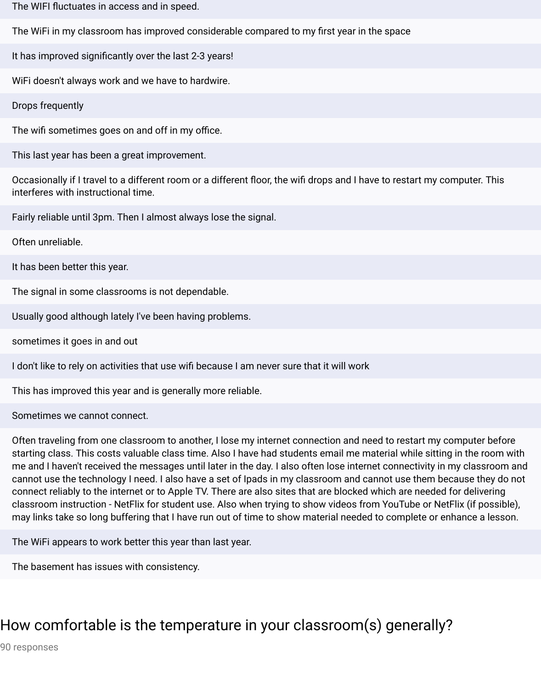The WIFI fluctuates in access and in speed.

The WiFi in my classroom has improved considerable compared to my first year in the space

It has improved significantly over the last 2-3 years!

WiFi doesn't always work and we have to hardwire.

Drops frequently

The wifi sometimes goes on and off in my office.

This last year has been a great improvement.

Occasionally if I travel to a different room or a different floor, the wifi drops and I have to restart my computer. This interferes with instructional time.

Fairly reliable until 3pm. Then I almost always lose the signal.

Often unreliable.

It has been better this year.

The signal in some classrooms is not dependable.

Usually good although lately I've been having problems.

sometimes it goes in and out

I don't like to rely on activities that use wifi because I am never sure that it will work

This has improved this year and is generally more reliable.

Sometimes we cannot connect.

Often traveling from one classroom to another, I lose my internet connection and need to restart my computer before starting class. This costs valuable class time. Also I have had students email me material while sitting in the room with me and I haven't received the messages until later in the day. I also often lose internet connectivity in my classroom and cannot use the technology I need. I also have a set of Ipads in my classroom and cannot use them because they do not connect reliably to the internet or to Apple TV. There are also sites that are blocked which are needed for delivering classroom instruction - NetFlix for student use. Also when trying to show videos from YouTube or NetFlix (if possible), may links take so long buffering that I have run out of time to show material needed to complete or enhance a lesson.

The WiFi appears to work better this year than last year.

The basement has issues with consistency.

## How comfortable is the temperature in your classroom(s) generally?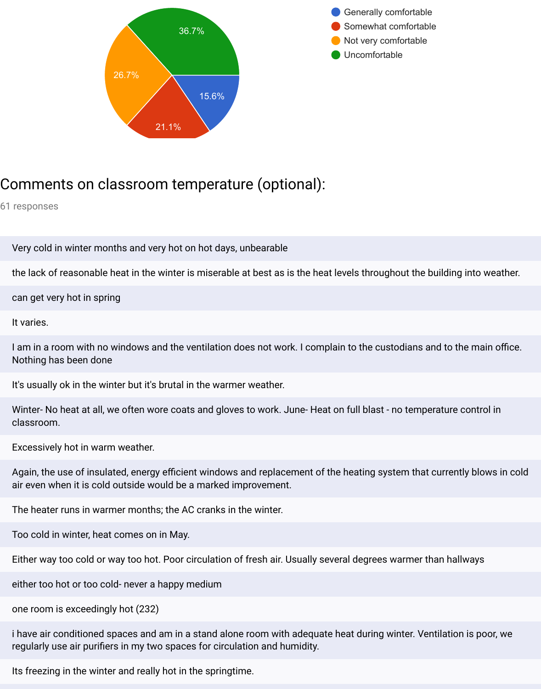



## Comments on classroom temperature (optional):

61 responses

Very cold in winter months and very hot on hot days, unbearable

the lack of reasonable heat in the winter is miserable at best as is the heat levels throughout the building into weather.

can get very hot in spring

It varies.

I am in a room with no windows and the ventilation does not work. I complain to the custodians and to the main office. Nothing has been done

It's usually ok in the winter but it's brutal in the warmer weather.

Winter- No heat at all, we often wore coats and gloves to work. June- Heat on full blast - no temperature control in classroom.

Excessively hot in warm weather.

Again, the use of insulated, energy efficient windows and replacement of the heating system that currently blows in cold air even when it is cold outside would be a marked improvement.

The heater runs in warmer months; the AC cranks in the winter.

Too cold in winter, heat comes on in May.

Either way too cold or way too hot. Poor circulation of fresh air. Usually several degrees warmer than hallways

either too hot or too cold- never a happy medium

one room is exceedingly hot (232)

i have air conditioned spaces and am in a stand alone room with adequate heat during winter. Ventilation is poor, we regularly use air purifiers in my two spaces for circulation and humidity.

Its freezing in the winter and really hot in the springtime.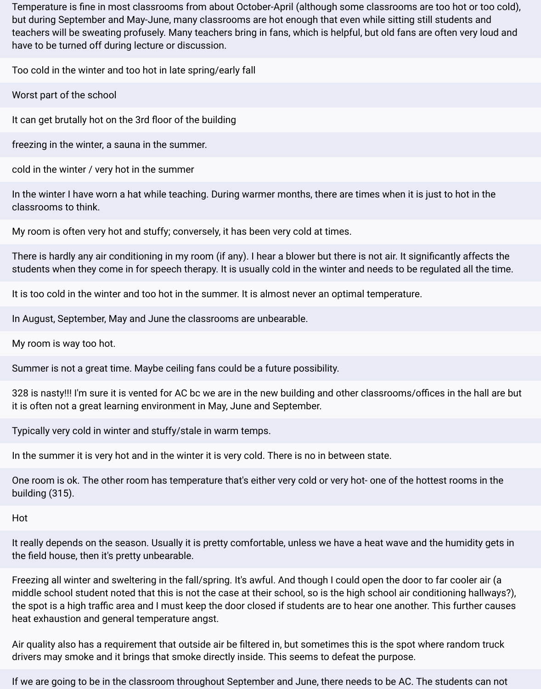Temperature is fine in most classrooms from about October-April (although some classrooms are too hot or too cold), but during September and May-June, many classrooms are hot enough that even while sitting still students and teachers will be sweating profusely. Many teachers bring in fans, which is helpful, but old fans are often very loud and have to be turned off during lecture or discussion.

Too cold in the winter and too hot in late spring/early fall

Worst part of the school

It can get brutally hot on the 3rd floor of the building

freezing in the winter, a sauna in the summer.

cold in the winter / very hot in the summer

In the winter I have worn a hat while teaching. During warmer months, there are times when it is just to hot in the classrooms to think.

My room is often very hot and stuffy; conversely, it has been very cold at times.

There is hardly any air conditioning in my room (if any). I hear a blower but there is not air. It significantly affects the students when they come in for speech therapy. It is usually cold in the winter and needs to be regulated all the time.

It is too cold in the winter and too hot in the summer. It is almost never an optimal temperature.

In August, September, May and June the classrooms are unbearable.

My room is way too hot.

Summer is not a great time. Maybe ceiling fans could be a future possibility.

328 is nasty!!! I'm sure it is vented for AC bc we are in the new building and other classrooms/offices in the hall are but it is often not a great learning environment in May, June and September.

Typically very cold in winter and stuffy/stale in warm temps.

In the summer it is very hot and in the winter it is very cold. There is no in between state.

One room is ok. The other room has temperature that's either very cold or very hot- one of the hottest rooms in the building (315).

Hot

It really depends on the season. Usually it is pretty comfortable, unless we have a heat wave and the humidity gets in the field house, then it's pretty unbearable.

Freezing all winter and sweltering in the fall/spring. It's awful. And though I could open the door to far cooler air (a middle school student noted that this is not the case at their school, so is the high school air conditioning hallways?), the spot is a high traffic area and I must keep the door closed if students are to hear one another. This further causes heat exhaustion and general temperature angst.

Air quality also has a requirement that outside air be filtered in, but sometimes this is the spot where random truck drivers may smoke and it brings that smoke directly inside. This seems to defeat the purpose.

If we are going to be in the classroom throughout September and June, there needs to be AC. The students can not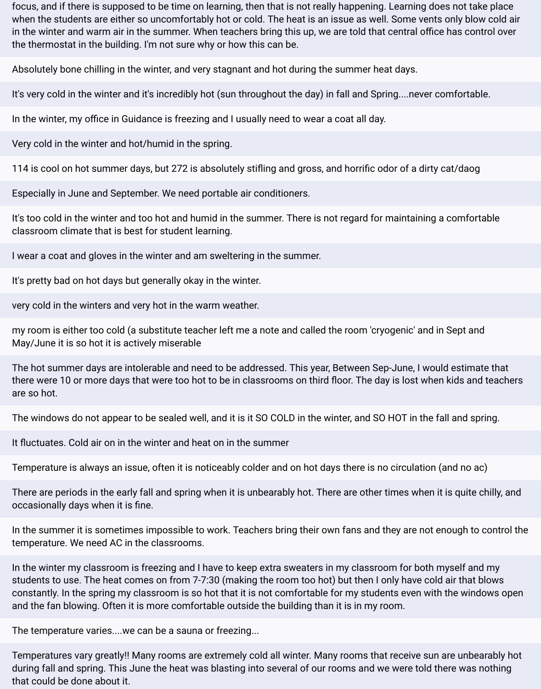focus, and if there is supposed to be time on learning, then that is not really happening. Learning does not take place when the students are either so uncomfortably hot or cold. The heat is an issue as well. Some vents only blow cold air in the winter and warm air in the summer. When teachers bring this up, we are told that central office has control over the thermostat in the building. I'm not sure why or how this can be.

Absolutely bone chilling in the winter, and very stagnant and hot during the summer heat days.

It's very cold in the winter and it's incredibly hot (sun throughout the day) in fall and Spring....never comfortable.

In the winter, my office in Guidance is freezing and I usually need to wear a coat all day.

Very cold in the winter and hot/humid in the spring.

114 is cool on hot summer days, but 272 is absolutely stifling and gross, and horrific odor of a dirty cat/daog

Especially in June and September. We need portable air conditioners.

It's too cold in the winter and too hot and humid in the summer. There is not regard for maintaining a comfortable classroom climate that is best for student learning.

I wear a coat and gloves in the winter and am sweltering in the summer.

It's pretty bad on hot days but generally okay in the winter.

very cold in the winters and very hot in the warm weather.

my room is either too cold (a substitute teacher left me a note and called the room 'cryogenic' and in Sept and May/June it is so hot it is actively miserable

The hot summer days are intolerable and need to be addressed. This year, Between Sep-June, I would estimate that there were 10 or more days that were too hot to be in classrooms on third floor. The day is lost when kids and teachers are so hot.

The windows do not appear to be sealed well, and it is it SO COLD in the winter, and SO HOT in the fall and spring.

It fluctuates. Cold air on in the winter and heat on in the summer

Temperature is always an issue, often it is noticeably colder and on hot days there is no circulation (and no ac)

There are periods in the early fall and spring when it is unbearably hot. There are other times when it is quite chilly, and occasionally days when it is fine.

In the summer it is sometimes impossible to work. Teachers bring their own fans and they are not enough to control the temperature. We need AC in the classrooms.

In the winter my classroom is freezing and I have to keep extra sweaters in my classroom for both myself and my students to use. The heat comes on from 7-7:30 (making the room too hot) but then I only have cold air that blows constantly. In the spring my classroom is so hot that it is not comfortable for my students even with the windows open and the fan blowing. Often it is more comfortable outside the building than it is in my room.

The temperature varies....we can be a sauna or freezing...

Temperatures vary greatly!! Many rooms are extremely cold all winter. Many rooms that receive sun are unbearably hot during fall and spring. This June the heat was blasting into several of our rooms and we were told there was nothing that could be done about it.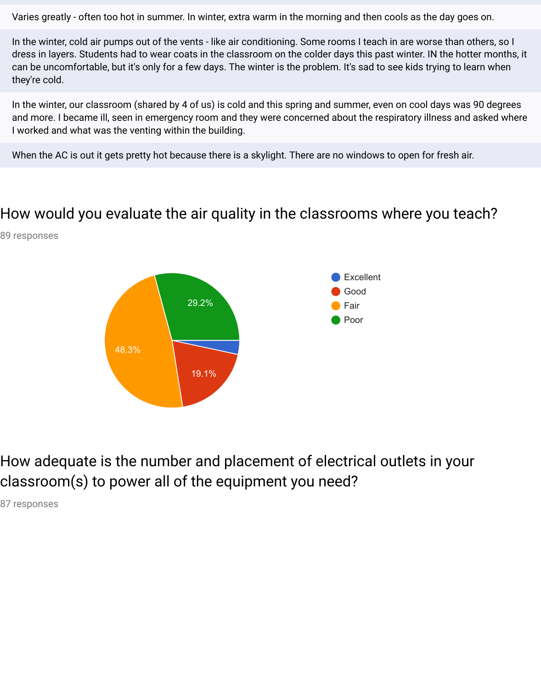Varies greatly - often too hot in summer. In winter, extra warm in the morning and then cools as the day goes on.

In the winter, cold air pumps out of the vents - like air conditioning. Some rooms I teach in are worse than others, so I dress in layers. Students had to wear coats in the classroom on the colder days this past winter. IN the hotter months, it can be uncomfortable, but it's only for a few days. The winter is the problem. It's sad to see kids trying to learn when they're cold.

In the winter, our classroom (shared by 4 of us) is cold and this spring and summer, even on cool days was 90 degrees and more. I became ill, seen in emergency room and they were concerned about the respiratory illness and asked where I worked and what was the venting within the building.

When the AC is out it gets pretty hot because there is a skylight. There are no windows to open for fresh air.

### How would you evaluate the air quality in the classrooms where you teach?

89 responses



How adequate is the number and placement of electrical outlets in your classroom(s) to power all of the equipment you need?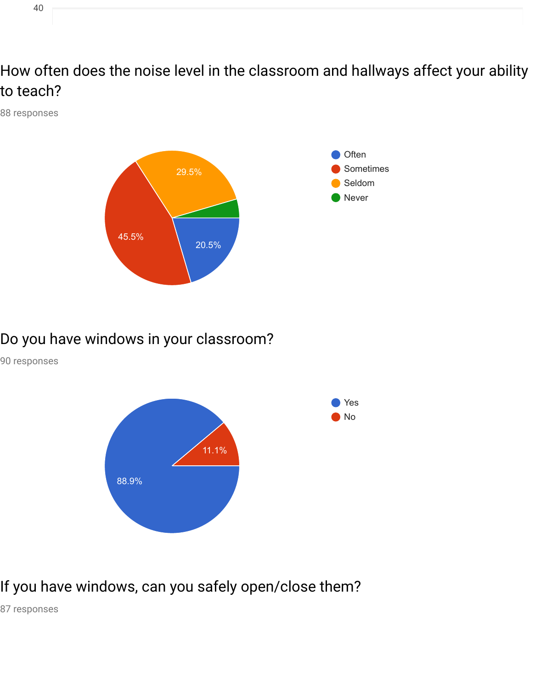How often does the noise level in the classroom and hallways affect your ability to teach?

88 responses



### Do you have windows in your classroom?

90 responses



## If you have windows, can you safely open/close them?

87 responses

40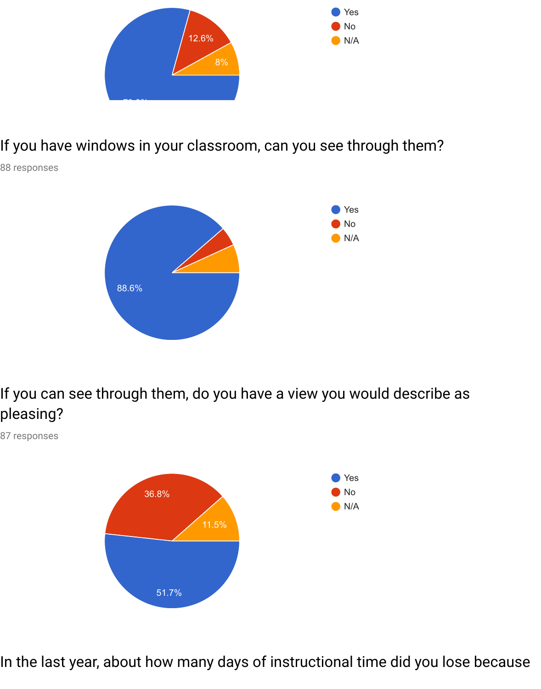

### If you have windows in your classroom, can you see through them?

88 responses



If you can see through them, do you have a view you would describe as pleasing?

87 responses



In the last year, about how many days of instructional time did you lose because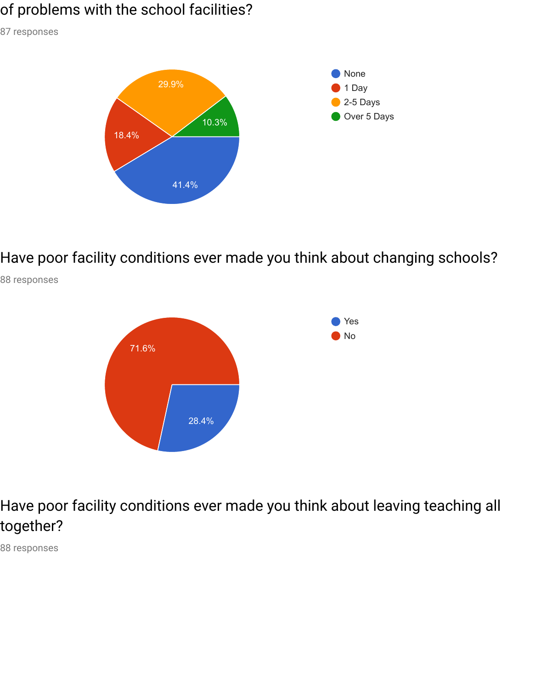### of problems with the school facilities?

87 responses



Have poor facility conditions ever made you think about changing schools?



88 responses

Have poor facility conditions ever made you think about leaving teaching all together?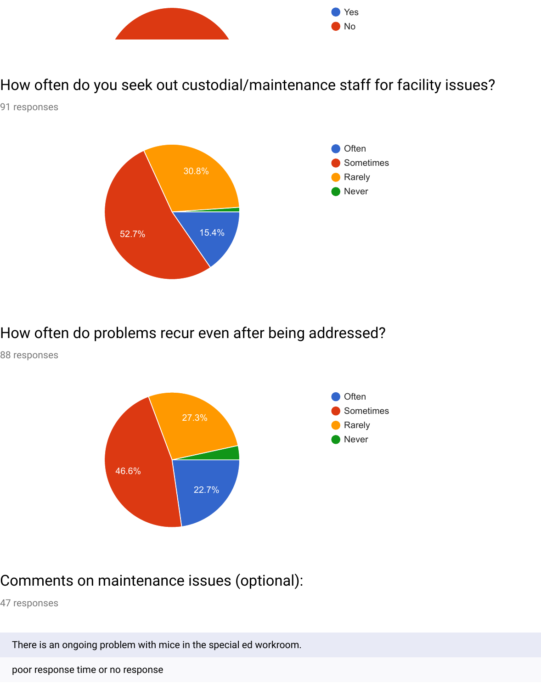

How often do you seek out custodial/maintenance staff for facility issues?

91 responses



How often do problems recur even after being addressed?

88 responses



### Comments on maintenance issues (optional):

47 responses

There is an ongoing problem with mice in the special ed workroom.

poor response time or no response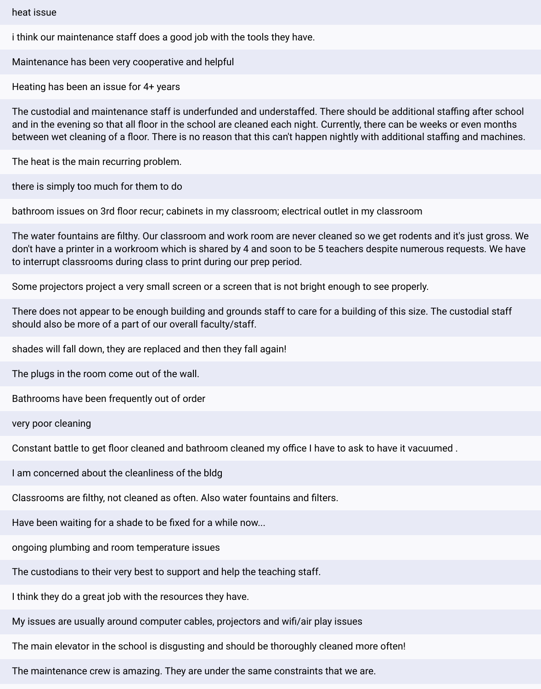#### heat issue

i think our maintenance staff does a good job with the tools they have.

Maintenance has been very cooperative and helpful

Heating has been an issue for 4+ years

The custodial and maintenance staff is underfunded and understaffed. There should be additional staffing after school and in the evening so that all floor in the school are cleaned each night. Currently, there can be weeks or even months between wet cleaning of a floor. There is no reason that this can't happen nightly with additional staffing and machines.

The heat is the main recurring problem.

there is simply too much for them to do

bathroom issues on 3rd floor recur; cabinets in my classroom; electrical outlet in my classroom

The water fountains are filthy. Our classroom and work room are never cleaned so we get rodents and it's just gross. We don't have a printer in a workroom which is shared by 4 and soon to be 5 teachers despite numerous requests. We have to interrupt classrooms during class to print during our prep period.

Some projectors project a very small screen or a screen that is not bright enough to see properly.

There does not appear to be enough building and grounds staff to care for a building of this size. The custodial staff should also be more of a part of our overall faculty/staff.

shades will fall down, they are replaced and then they fall again!

The plugs in the room come out of the wall.

Bathrooms have been frequently out of order

very poor cleaning

Constant battle to get floor cleaned and bathroom cleaned my office I have to ask to have it vacuumed.

I am concerned about the cleanliness of the bldg

Classrooms are filthy, not cleaned as often. Also water fountains and filters.

Have been waiting for a shade to be fixed for a while now...

ongoing plumbing and room temperature issues

The custodians to their very best to support and help the teaching staff.

I think they do a great job with the resources they have.

My issues are usually around computer cables, projectors and wifi/air play issues

The main elevator in the school is disgusting and should be thoroughly cleaned more often!

The maintenance crew is amazing. They are under the same constraints that we are.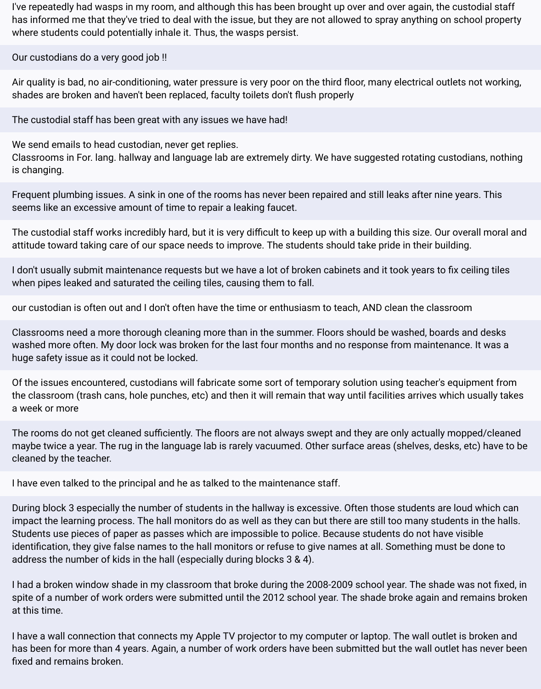I've repeatedly had wasps in my room, and although this has been brought up over and over again, the custodial staff has informed me that they've tried to deal with the issue, but they are not allowed to spray anything on school property where students could potentially inhale it. Thus, the wasps persist.

Our custodians do a very good job !!

Air quality is bad, no air-conditioning, water pressure is very poor on the third floor, many electrical outlets not working, shades are broken and haven't been replaced, faculty toilets don't flush properly

The custodial staff has been great with any issues we have had!

We send emails to head custodian, never get replies.

Classrooms in For. lang. hallway and language lab are extremely dirty. We have suggested rotating custodians, nothing is changing.

Frequent plumbing issues. A sink in one of the rooms has never been repaired and still leaks after nine years. This seems like an excessive amount of time to repair a leaking faucet.

The custodial staff works incredibly hard, but it is very difficult to keep up with a building this size. Our overall moral and attitude toward taking care of our space needs to improve. The students should take pride in their building.

I don't usually submit maintenance requests but we have a lot of broken cabinets and it took years to fix ceiling tiles when pipes leaked and saturated the ceiling tiles, causing them to fall.

our custodian is often out and I don't often have the time or enthusiasm to teach, AND clean the classroom

Classrooms need a more thorough cleaning more than in the summer. Floors should be washed, boards and desks washed more often. My door lock was broken for the last four months and no response from maintenance. It was a huge safety issue as it could not be locked.

Of the issues encountered, custodians will fabricate some sort of temporary solution using teacher's equipment from the classroom (trash cans, hole punches, etc) and then it will remain that way until facilities arrives which usually takes a week or more

The rooms do not get cleaned sufficiently. The floors are not always swept and they are only actually mopped/cleaned maybe twice a year. The rug in the language lab is rarely vacuumed. Other surface areas (shelves, desks, etc) have to be cleaned by the teacher.

I have even talked to the principal and he as talked to the maintenance staff.

During block 3 especially the number of students in the hallway is excessive. Often those students are loud which can impact the learning process. The hall monitors do as well as they can but there are still too many students in the halls. Students use pieces of paper as passes which are impossible to police. Because students do not have visible identification, they give false names to the hall monitors or refuse to give names at all. Something must be done to address the number of kids in the hall (especially during blocks 3 & 4).

I had a broken window shade in my classroom that broke during the 2008-2009 school year. The shade was not fixed, in spite of a number of work orders were submitted until the 2012 school year. The shade broke again and remains broken at this time.

I have a wall connection that connects my Apple TV projector to my computer or laptop. The wall outlet is broken and has been for more than 4 years. Again, a number of work orders have been submitted but the wall outlet has never been fixed and remains broken.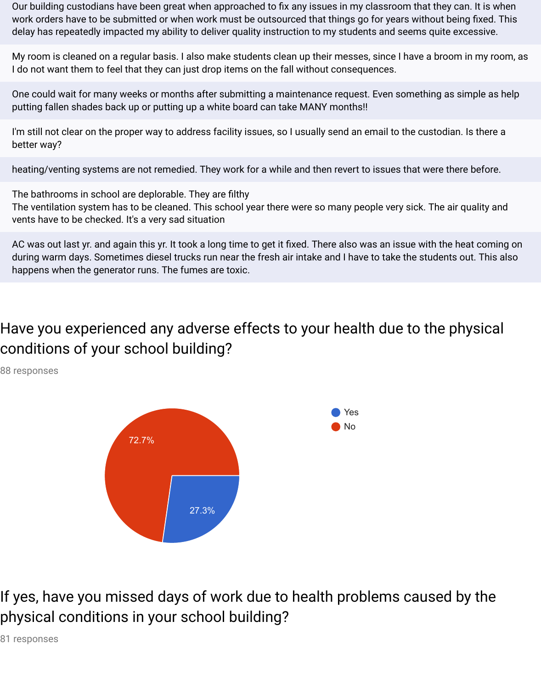Our building custodians have been great when approached to fix any issues in my classroom that they can. It is when work orders have to be submitted or when work must be outsourced that things go for years without being fixed. This delay has repeatedly impacted my ability to deliver quality instruction to my students and seems quite excessive.

My room is cleaned on a regular basis. I also make students clean up their messes, since I have a broom in my room, as I do not want them to feel that they can just drop items on the fall without consequences.

One could wait for many weeks or months after submitting a maintenance request. Even something as simple as help putting fallen shades back up or putting up a white board can take MANY months!!

I'm still not clear on the proper way to address facility issues, so I usually send an email to the custodian. Is there a better way?

heating/venting systems are not remedied. They work for a while and then revert to issues that were there before.

The bathrooms in school are deplorable. They are filthy The ventilation system has to be cleaned. This school year there were so many people very sick. The air quality and vents have to be checked. It's a very sad situation

AC was out last yr. and again this yr. It took a long time to get it fixed. There also was an issue with the heat coming on during warm days. Sometimes diesel trucks run near the fresh air intake and I have to take the students out. This also happens when the generator runs. The fumes are toxic.

# Have you experienced any adverse effects to your health due to the physical conditions of your school building?

88 responses



If yes, have you missed days of work due to health problems caused by the physical conditions in your school building?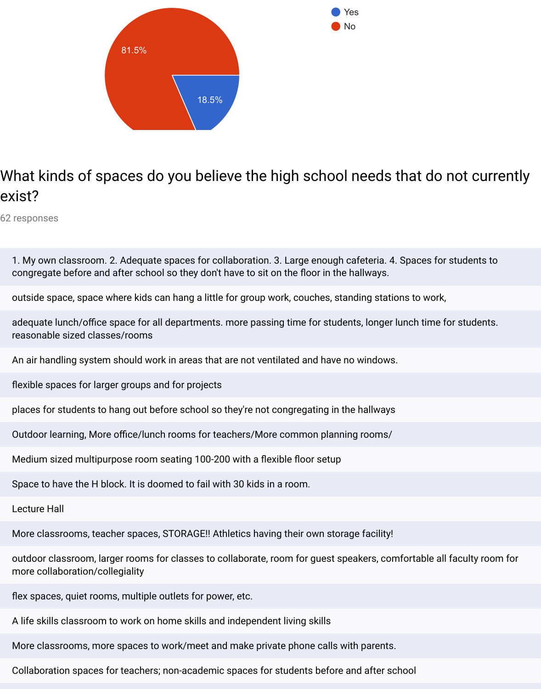

# What kinds of spaces do you believe the high school needs that do not currently exist?

Yes No

62 responses

| 1. My own classroom. 2. Adequate spaces for collaboration. 3. Large enough cafeteria. 4. Spaces for students to<br>congregate before and after school so they don't have to sit on the floor in the hallways. |
|---------------------------------------------------------------------------------------------------------------------------------------------------------------------------------------------------------------|
| outside space, space where kids can hang a little for group work, couches, standing stations to work,                                                                                                         |
| adequate lunch/office space for all departments. more passing time for students, longer lunch time for students.<br>reasonable sized classes/rooms                                                            |
| An air handling system should work in areas that are not ventilated and have no windows.                                                                                                                      |
| flexible spaces for larger groups and for projects                                                                                                                                                            |
| places for students to hang out before school so they're not congregating in the hallways                                                                                                                     |
| Outdoor learning, More office/lunch rooms for teachers/More common planning rooms/                                                                                                                            |
| Medium sized multipurpose room seating 100-200 with a flexible floor setup                                                                                                                                    |
| Space to have the H block. It is doomed to fail with 30 kids in a room.                                                                                                                                       |
| <b>Lecture Hall</b>                                                                                                                                                                                           |
| More classrooms, teacher spaces, STORAGE!! Athletics having their own storage facility!                                                                                                                       |
| outdoor classroom, larger rooms for classes to collaborate, room for guest speakers, comfortable all faculty room for<br>more collaboration/collegiality                                                      |
| flex spaces, quiet rooms, multiple outlets for power, etc.                                                                                                                                                    |
| A life skills classroom to work on home skills and independent living skills                                                                                                                                  |
| More classrooms, more spaces to work/meet and make private phone calls with parents.                                                                                                                          |

Collaboration spaces for teachers; non-academic spaces for students before and after school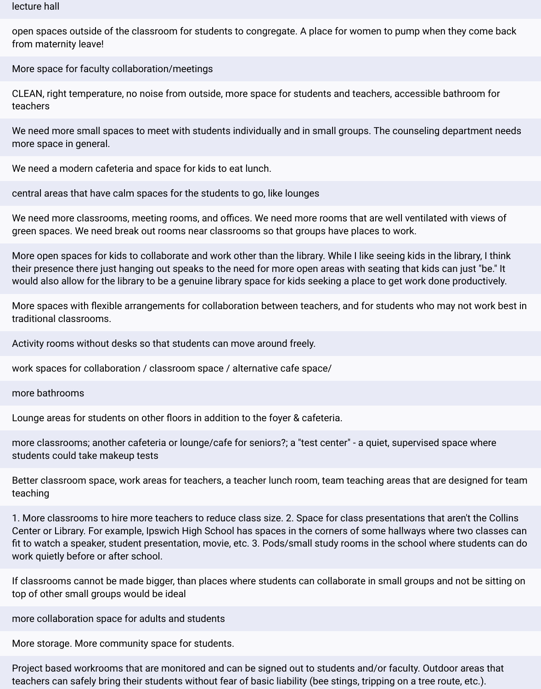#### lecture hall

open spaces outside of the classroom for students to congregate. A place for women to pump when they come back from maternity leave!

More space for faculty collaboration/meetings

CLEAN, right temperature, no noise from outside, more space for students and teachers, accessible bathroom for teachers

We need more small spaces to meet with students individually and in small groups. The counseling department needs more space in general.

We need a modern cafeteria and space for kids to eat lunch.

central areas that have calm spaces for the students to go, like lounges

We need more classrooms, meeting rooms, and offices. We need more rooms that are well ventilated with views of green spaces. We need break out rooms near classrooms so that groups have places to work.

More open spaces for kids to collaborate and work other than the library. While I like seeing kids in the library, I think their presence there just hanging out speaks to the need for more open areas with seating that kids can just "be." It would also allow for the library to be a genuine library space for kids seeking a place to get work done productively.

More spaces with flexible arrangements for collaboration between teachers, and for students who may not work best in traditional classrooms.

Activity rooms without desks so that students can move around freely.

work spaces for collaboration / classroom space / alternative cafe space/

more bathrooms

Lounge areas for students on other floors in addition to the foyer & cafeteria.

more classrooms; another cafeteria or lounge/cafe for seniors?; a "test center" - a quiet, supervised space where students could take makeup tests

Better classroom space, work areas for teachers, a teacher lunch room, team teaching areas that are designed for team teaching

1. More classrooms to hire more teachers to reduce class size. 2. Space for class presentations that aren't the Collins Center or Library. For example, Ipswich High School has spaces in the corners of some hallways where two classes can fit to watch a speaker, student presentation, movie, etc. 3. Pods/small study rooms in the school where students can do work quietly before or after school.

If classrooms cannot be made bigger, than places where students can collaborate in small groups and not be sitting on top of other small groups would be ideal

more collaboration space for adults and students

More storage. More community space for students.

Project based workrooms that are monitored and can be signed out to students and/or faculty. Outdoor areas that teachers can safely bring their students without fear of basic liability (bee stings, tripping on a tree route, etc.).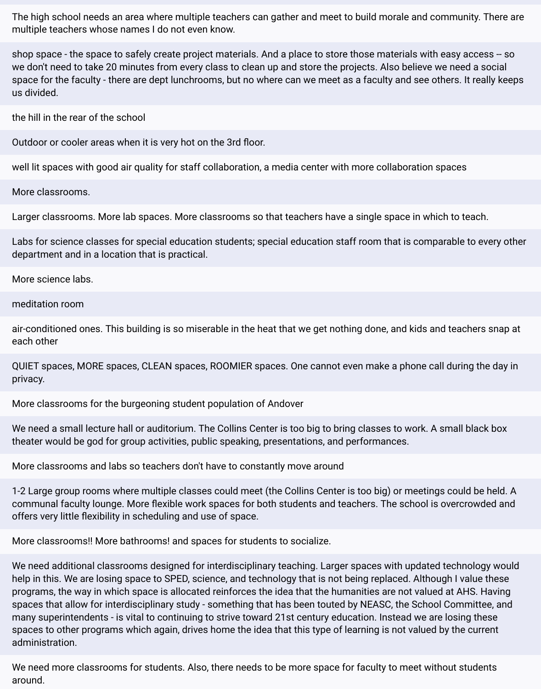The high school needs an area where multiple teachers can gather and meet to build morale and community. There are multiple teachers whose names I do not even know.

shop space - the space to safely create project materials. And a place to store those materials with easy access -- so we don't need to take 20 minutes from every class to clean up and store the projects. Also believe we need a social space for the faculty - there are dept lunchrooms, but no where can we meet as a faculty and see others. It really keeps us divided.

the hill in the rear of the school

Outdoor or cooler areas when it is very hot on the 3rd floor.

well lit spaces with good air quality for staff collaboration, a media center with more collaboration spaces

More classrooms.

Larger classrooms. More lab spaces. More classrooms so that teachers have a single space in which to teach.

Labs for science classes for special education students; special education staff room that is comparable to every other department and in a location that is practical.

More science labs.

meditation room

air-conditioned ones. This building is so miserable in the heat that we get nothing done, and kids and teachers snap at each other

QUIET spaces, MORE spaces, CLEAN spaces, ROOMIER spaces. One cannot even make a phone call during the day in privacy.

More classrooms for the burgeoning student population of Andover

We need a small lecture hall or auditorium. The Collins Center is too big to bring classes to work. A small black box theater would be god for group activities, public speaking, presentations, and performances.

More classrooms and labs so teachers don't have to constantly move around

1-2 Large group rooms where multiple classes could meet (the Collins Center is too big) or meetings could be held. A communal faculty lounge. More flexible work spaces for both students and teachers. The school is overcrowded and offers very little flexibility in scheduling and use of space.

More classrooms!! More bathrooms! and spaces for students to socialize.

We need additional classrooms designed for interdisciplinary teaching. Larger spaces with updated technology would help in this. We are losing space to SPED, science, and technology that is not being replaced. Although I value these programs, the way in which space is allocated reinforces the idea that the humanities are not valued at AHS. Having spaces that allow for interdisciplinary study - something that has been touted by NEASC, the School Committee, and many superintendents - is vital to continuing to strive toward 21st century education. Instead we are losing these spaces to other programs which again, drives home the idea that this type of learning is not valued by the current administration.

We need more classrooms for students. Also, there needs to be more space for faculty to meet without students around.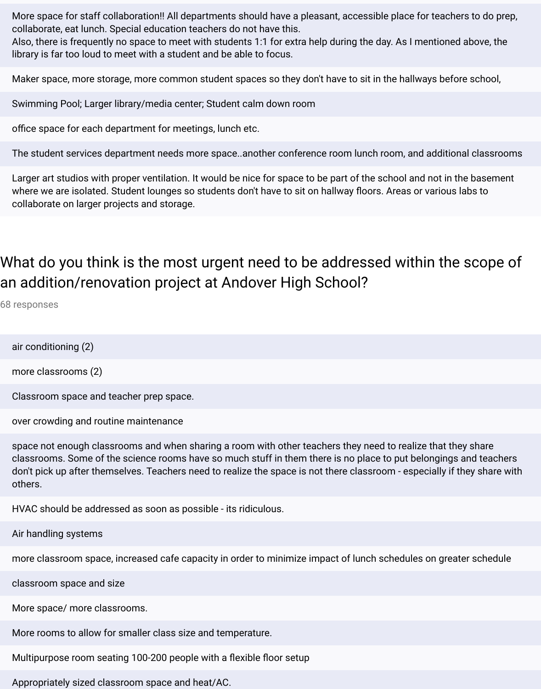More space for staff collaboration!! All departments should have a pleasant, accessible place for teachers to do prep, collaborate, eat lunch. Special education teachers do not have this.

Also, there is frequently no space to meet with students 1:1 for extra help during the day. As I mentioned above, the library is far too loud to meet with a student and be able to focus.

Maker space, more storage, more common student spaces so they don't have to sit in the hallways before school,

Swimming Pool; Larger library/media center; Student calm down room

office space for each department for meetings, lunch etc.

The student services department needs more space..another conference room lunch room, and additional classrooms

Larger art studios with proper ventilation. It would be nice for space to be part of the school and not in the basement where we are isolated. Student lounges so students don't have to sit on hallway floors. Areas or various labs to collaborate on larger projects and storage.

# What do you think is the most urgent need to be addressed within the scope of an addition/renovation project at Andover High School?

68 responses

air conditioning (2)

more classrooms (2)

Classroom space and teacher prep space.

over crowding and routine maintenance

space not enough classrooms and when sharing a room with other teachers they need to realize that they share classrooms. Some of the science rooms have so much stuff in them there is no place to put belongings and teachers don't pick up after themselves. Teachers need to realize the space is not there classroom - especially if they share with others.

HVAC should be addressed as soon as possible - its ridiculous.

Air handling systems

more classroom space, increased cafe capacity in order to minimize impact of lunch schedules on greater schedule

classroom space and size

More space/ more classrooms.

More rooms to allow for smaller class size and temperature.

Multipurpose room seating 100-200 people with a flexible floor setup

Appropriately sized classroom space and heat/AC.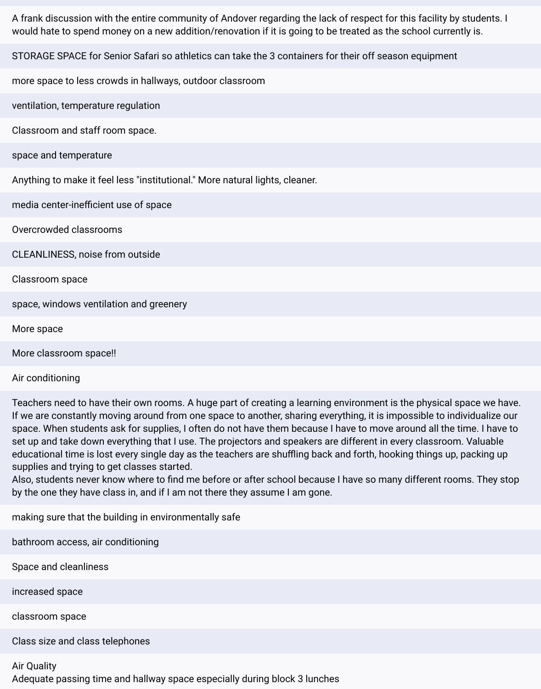A frank discussion with the entire community of Andover regarding the lack of respect for this facility by students. I would hate to spend money on a new addition/renovation if it is going to be treated as the school currently is.

STORAGE SPACE for Senior Safari so athletics can take the 3 containers for their off season equipment

more space to less crowds in hallways, outdoor classroom

ventilation, temperature regulation

Classroom and staff room space.

space and temperature

Anything to make it feel less "institutional." More natural lights, cleaner.

media center-inefficient use of space

Overcrowded classrooms

CLEANLINESS, noise from outside

Classroom space

space, windows ventilation and greenery

More space

More classroom space!!

#### Air conditioning

Teachers need to have their own rooms. A huge part of creating a learning environment is the physical space we have. If we are constantly moving around from one space to another, sharing everything, it is impossible to individualize our space. When students ask for supplies, I often do not have them because I have to move around all the time. I have to set up and take down everything that I use. The projectors and speakers are different in every classroom. Valuable educational time is lost every single day as the teachers are shuffling back and forth, hooking things up, packing up supplies and trying to get classes started.

Also, students never know where to find me before or after school because I have so many different rooms. They stop by the one they have class in, and if I am not there they assume I am gone.

making sure that the building in environmentally safe

bathroom access, air conditioning

Space and cleanliness

increased space

classroom space

Class size and class telephones

#### Air Quality

Adequate passing time and hallway space especially during block 3 lunches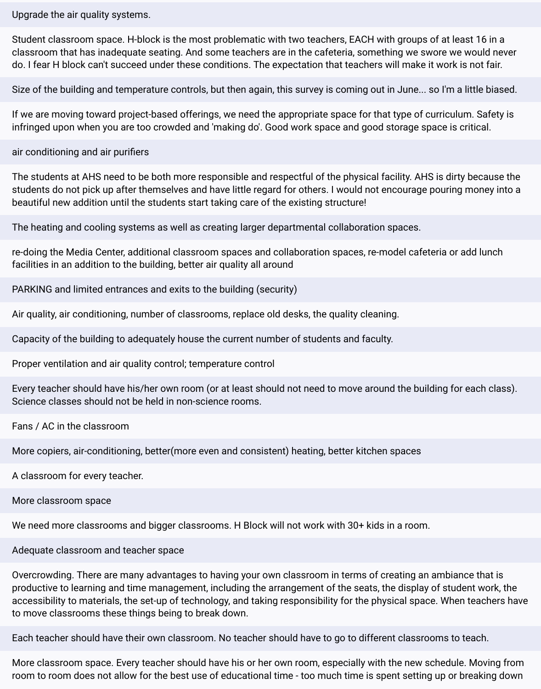Upgrade the air quality systems.

Student classroom space. H-block is the most problematic with two teachers, EACH with groups of at least 16 in a classroom that has inadequate seating. And some teachers are in the cafeteria, something we swore we would never do. I fear H block can't succeed under these conditions. The expectation that teachers will make it work is not fair.

Size of the building and temperature controls, but then again, this survey is coming out in June... so I'm a little biased.

If we are moving toward project-based offerings, we need the appropriate space for that type of curriculum. Safety is infringed upon when you are too crowded and 'making do'. Good work space and good storage space is critical.

air conditioning and air purifiers

The students at AHS need to be both more responsible and respectful of the physical facility. AHS is dirty because the students do not pick up after themselves and have little regard for others. I would not encourage pouring money into a beautiful new addition until the students start taking care of the existing structure!

The heating and cooling systems as well as creating larger departmental collaboration spaces.

re-doing the Media Center, additional classroom spaces and collaboration spaces, re-model cafeteria or add lunch facilities in an addition to the building, better air quality all around

PARKING and limited entrances and exits to the building (security)

Air quality, air conditioning, number of classrooms, replace old desks, the quality cleaning.

Capacity of the building to adequately house the current number of students and faculty.

Proper ventilation and air quality control; temperature control

Every teacher should have his/her own room (or at least should not need to move around the building for each class). Science classes should not be held in non-science rooms.

Fans / AC in the classroom

More copiers, air-conditioning, better(more even and consistent) heating, better kitchen spaces

A classroom for every teacher.

More classroom space

We need more classrooms and bigger classrooms. H Block will not work with 30+ kids in a room.

Adequate classroom and teacher space

Overcrowding. There are many advantages to having your own classroom in terms of creating an ambiance that is productive to learning and time management, including the arrangement of the seats, the display of student work, the accessibility to materials, the set-up of technology, and taking responsibility for the physical space. When teachers have to move classrooms these things being to break down.

Each teacher should have their own classroom. No teacher should have to go to different classrooms to teach.

More classroom space. Every teacher should have his or her own room, especially with the new schedule. Moving from room to room does not allow for the best use of educational time - too much time is spent setting up or breaking down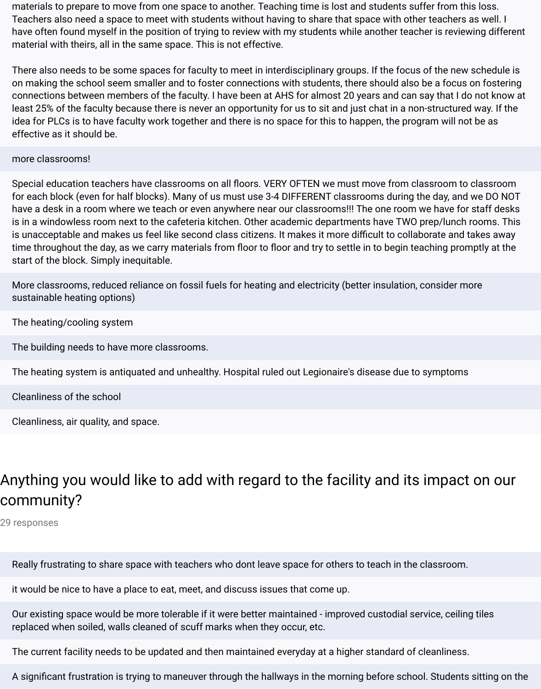materials to prepare to move from one space to another. Teaching time is lost and students suffer from this loss. Teachers also need a space to meet with students without having to share that space with other teachers as well. I have often found myself in the position of trying to review with my students while another teacher is reviewing different material with theirs, all in the same space. This is not effective.

There also needs to be some spaces for faculty to meet in interdisciplinary groups. If the focus of the new schedule is on making the school seem smaller and to foster connections with students, there should also be a focus on fostering connections between members of the faculty. I have been at AHS for almost 20 years and can say that I do not know at least 25% of the faculty because there is never an opportunity for us to sit and just chat in a non-structured way. If the idea for PLCs is to have faculty work together and there is no space for this to happen, the program will not be as effective as it should be.

#### more classrooms!

Special education teachers have classrooms on all floors. VERY OFTEN we must move from classroom to classroom for each block (even for half blocks). Many of us must use 3-4 DIFFERENT classrooms during the day, and we DO NOT have a desk in a room where we teach or even anywhere near our classrooms!!! The one room we have for staff desks is in a windowless room next to the cafeteria kitchen. Other academic departments have TWO prep/lunch rooms. This is unacceptable and makes us feel like second class citizens. It makes it more difficult to collaborate and takes away time throughout the day, as we carry materials from floor to floor and try to settle in to begin teaching promptly at the start of the block. Simply inequitable.

More classrooms, reduced reliance on fossil fuels for heating and electricity (better insulation, consider more sustainable heating options)

The heating/cooling system

The building needs to have more classrooms.

The heating system is antiquated and unhealthy. Hospital ruled out Legionaire's disease due to symptoms

Cleanliness of the school

Cleanliness, air quality, and space.

# Anything you would like to add with regard to the facility and its impact on our community?

29 responses

Really frustrating to share space with teachers who dont leave space for others to teach in the classroom.

it would be nice to have a place to eat, meet, and discuss issues that come up.

Our existing space would be more tolerable if it were better maintained - improved custodial service, ceiling tiles replaced when soiled, walls cleaned of scuff marks when they occur, etc.

The current facility needs to be updated and then maintained everyday at a higher standard of cleanliness.

A significant frustration is trying to maneuver through the hallways in the morning before school. Students sitting on the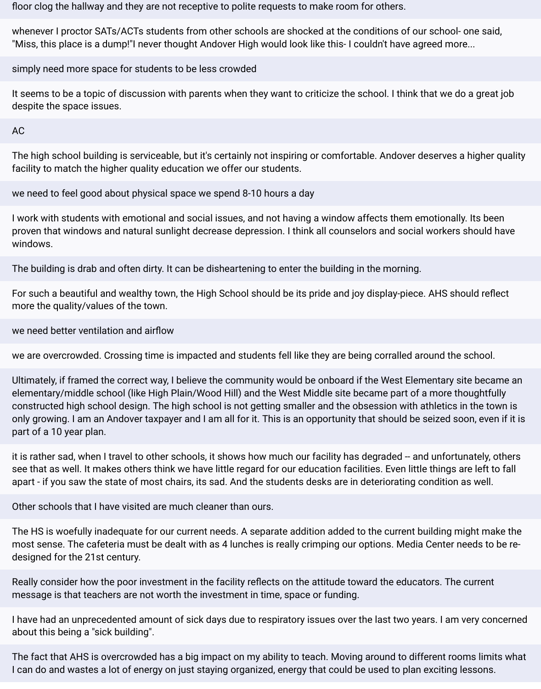floor clog the hallway and they are not receptive to polite requests to make room for others.

whenever I proctor SATs/ACTs students from other schools are shocked at the conditions of our school- one said, "Miss, this place is a dump!"I never thought Andover High would look like this- I couldn't have agreed more...

simply need more space for students to be less crowded

It seems to be a topic of discussion with parents when they want to criticize the school. I think that we do a great job despite the space issues.

AC

The high school building is serviceable, but it's certainly not inspiring or comfortable. Andover deserves a higher quality facility to match the higher quality education we offer our students.

we need to feel good about physical space we spend 8-10 hours a day

I work with students with emotional and social issues, and not having a window affects them emotionally. Its been proven that windows and natural sunlight decrease depression. I think all counselors and social workers should have windows.

The building is drab and often dirty. It can be disheartening to enter the building in the morning.

For such a beautiful and wealthy town, the High School should be its pride and joy display-piece. AHS should reflect more the quality/values of the town.

we need better ventilation and airflow

we are overcrowded. Crossing time is impacted and students fell like they are being corralled around the school.

Ultimately, if framed the correct way, I believe the community would be onboard if the West Elementary site became an elementary/middle school (like High Plain/Wood Hill) and the West Middle site became part of a more thoughtfully constructed high school design. The high school is not getting smaller and the obsession with athletics in the town is only growing. I am an Andover taxpayer and I am all for it. This is an opportunity that should be seized soon, even if it is part of a 10 year plan.

it is rather sad, when I travel to other schools, it shows how much our facility has degraded -- and unfortunately, others see that as well. It makes others think we have little regard for our education facilities. Even little things are left to fall apart - if you saw the state of most chairs, its sad. And the students desks are in deteriorating condition as well.

Other schools that I have visited are much cleaner than ours.

The HS is woefully inadequate for our current needs. A separate addition added to the current building might make the most sense. The cafeteria must be dealt with as 4 lunches is really crimping our options. Media Center needs to be redesigned for the 21st century.

Really consider how the poor investment in the facility reflects on the attitude toward the educators. The current message is that teachers are not worth the investment in time, space or funding.

I have had an unprecedented amount of sick days due to respiratory issues over the last two years. I am very concerned about this being a "sick building".

The fact that AHS is overcrowded has a big impact on my ability to teach. Moving around to different rooms limits what I can do and wastes a lot of energy on just staying organized, energy that could be used to plan exciting lessons.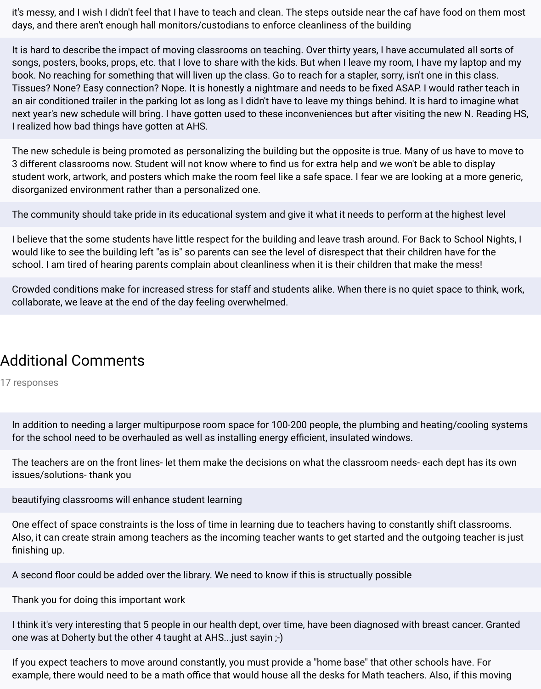it's messy, and I wish I didn't feel that I have to teach and clean. The steps outside near the caf have food on them most days, and there aren't enough hall monitors/custodians to enforce cleanliness of the building

It is hard to describe the impact of moving classrooms on teaching. Over thirty years, I have accumulated all sorts of songs, posters, books, props, etc. that I love to share with the kids. But when I leave my room, I have my laptop and my book. No reaching for something that will liven up the class. Go to reach for a stapler, sorry, isn't one in this class. Tissues? None? Easy connection? Nope. It is honestly a nightmare and needs to be fixed ASAP. I would rather teach in an air conditioned trailer in the parking lot as long as I didn't have to leave my things behind. It is hard to imagine what next year's new schedule will bring. I have gotten used to these inconveniences but after visiting the new N. Reading HS, I realized how bad things have gotten at AHS.

The new schedule is being promoted as personalizing the building but the opposite is true. Many of us have to move to 3 different classrooms now. Student will not know where to find us for extra help and we won't be able to display student work, artwork, and posters which make the room feel like a safe space. I fear we are looking at a more generic, disorganized environment rather than a personalized one.

The community should take pride in its educational system and give it what it needs to perform at the highest level

I believe that the some students have little respect for the building and leave trash around. For Back to School Nights, I would like to see the building left "as is" so parents can see the level of disrespect that their children have for the school. I am tired of hearing parents complain about cleanliness when it is their children that make the mess!

Crowded conditions make for increased stress for staff and students alike. When there is no quiet space to think, work, collaborate, we leave at the end of the day feeling overwhelmed.

### Additional Comments

17 responses

In addition to needing a larger multipurpose room space for 100-200 people, the plumbing and heating/cooling systems for the school need to be overhauled as well as installing energy efficient, insulated windows.

The teachers are on the front lines- let them make the decisions on what the classroom needs- each dept has its own issues/solutions- thank you

beautifying classrooms will enhance student learning

One effect of space constraints is the loss of time in learning due to teachers having to constantly shift classrooms. Also, it can create strain among teachers as the incoming teacher wants to get started and the outgoing teacher is just finishing up.

A second floor could be added over the library. We need to know if this is structually possible

Thank you for doing this important work

I think it's very interesting that 5 people in our health dept, over time, have been diagnosed with breast cancer. Granted one was at Doherty but the other 4 taught at AHS...just sayin ;-)

If you expect teachers to move around constantly, you must provide a "home base" that other schools have. For example, there would need to be a math office that would house all the desks for Math teachers. Also, if this moving